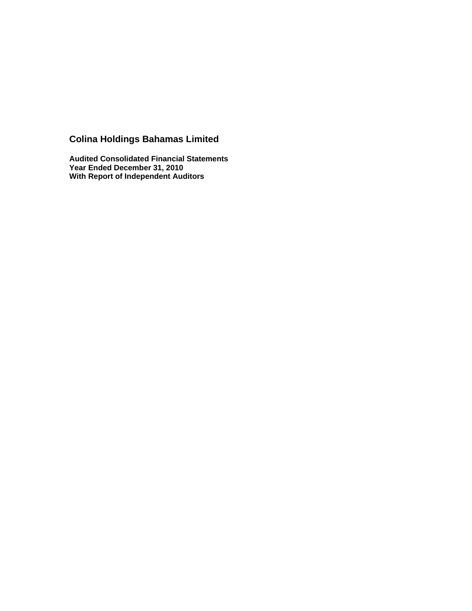# **Colina Holdings Bahamas Limited**

**Audited Consolidated Financial Statements Year Ended December 31, 2010 With Report of Independent Auditors**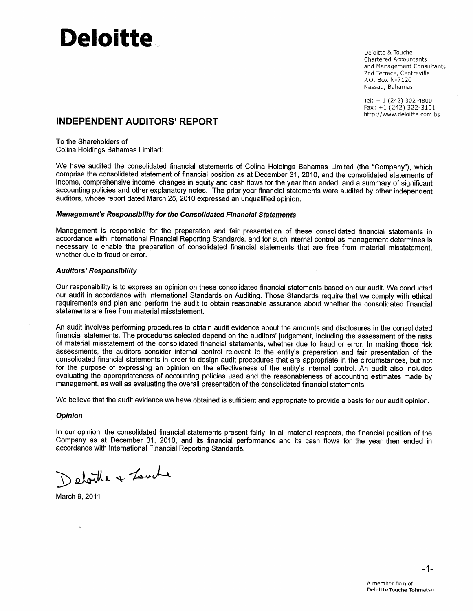# **Deloitte**

Deloitte & Touche Chartered Accountants and Management Consultants 2nd Terrace, Centreville P.O. Box N-7120 Nassau, Bahamas

Tel: + 1 (242) 302-4800 Fax:  $+1$  (242) 322-3101 http://www.deloitte.com.bs

# **INDEPENDENT AUDITORS' REPORT**

To the Shareholders of Colina Holdings Bahamas Limited:

We have audited the consolidated financial statements of Colina Holdings Bahamas Limited (the "Company"), which comprise the consolidated statement of financial position as at December 31, 2010, and the consolidated statements of income, comprehensive income, changes in equity and cash flows for the year then ended, and a summary of significant accounting policies and other explanatory notes. The prior year financial statements were audited by other independent auditors, whose report dated March 25, 2010 expressed an unqualified opinion.

#### **Management's Responsibility for the Consolidated Financial Statements**

Management is responsible for the preparation and fair presentation of these consolidated financial statements in accordance with International Financial Reporting Standards, and for such internal control as management determines is necessary to enable the preparation of consolidated financial statements that are free from material misstatement, whether due to fraud or error.

# **Auditors' Responsibility**

Our responsibility is to express an opinion on these consolidated financial statements based on our audit. We conducted our audit in accordance with International Standards on Auditing. Those Standards require that we comply with ethical requirements and plan and perform the audit to obtain reasonable assurance about whether the consolidated financial statements are free from material misstatement.

An audit involves performing procedures to obtain audit evidence about the amounts and disclosures in the consolidated financial statements. The procedures selected depend on the auditors' judgement, including the assessment of the risks of material misstatement of the consolidated financial statements, whether due to fraud or error. In making those risk assessments, the auditors consider internal control relevant to the entity's preparation and fair presentation of the consolidated financial statements in order to design audit procedures that are appropriate in the circumstances, but not for the purpose of expressing an opinion on the effectiveness of the entity's internal control. An audit also includes evaluating the appropriateness of accounting policies used and the reasonableness of accounting estimates made by management, as well as evaluating the overall presentation of the consolidated financial statements.

We believe that the audit evidence we have obtained is sufficient and appropriate to provide a basis for our audit opinion.

# **Opinion**

In our opinion, the consolidated financial statements present fairly, in all material respects, the financial position of the Company as at December 31, 2010, and its financial performance and its cash flows for the year then ended in accordance with International Financial Reporting Standards.

eloite + Lorde

March 9, 2011

-1-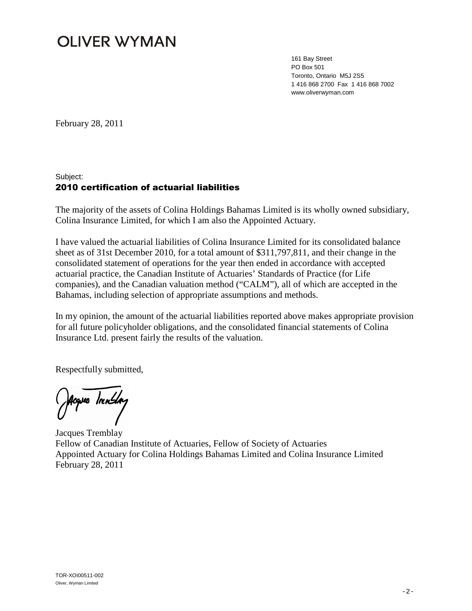# **OLIVER WYMAN**

161 Bay Street PO Box 501 Toronto, Ontario M5J 2S5 1 416 868 2700 Fax 1 416 868 7002 www.oliverwyman.com

February 28, 2011

# Subject: 2010 certification of actuarial liabilities

The majority of the assets of Colina Holdings Bahamas Limited is its wholly owned subsidiary, Colina Insurance Limited, for which I am also the Appointed Actuary.

I have valued the actuarial liabilities of Colina Insurance Limited for its consolidated balance sheet as of 31st December 2010, for a total amount of \$311,797,811, and their change in the consolidated statement of operations for the year then ended in accordance with accepted actuarial practice, the Canadian Institute of Actuaries' Standards of Practice (for Life companies), and the Canadian valuation method ("CALM"), all of which are accepted in the Bahamas, including selection of appropriate assumptions and methods.

In my opinion, the amount of the actuarial liabilities reported above makes appropriate provision for all future policyholder obligations, and the consolidated financial statements of Colina Insurance Ltd. present fairly the results of the valuation.

Respectfully submitted,

fcqvo Inn*h*az

Jacques Tremblay Fellow of Canadian Institute of Actuaries, Fellow of Society of Actuaries Appointed Actuary for Colina Holdings Bahamas Limited and Colina Insurance Limited February 28, 2011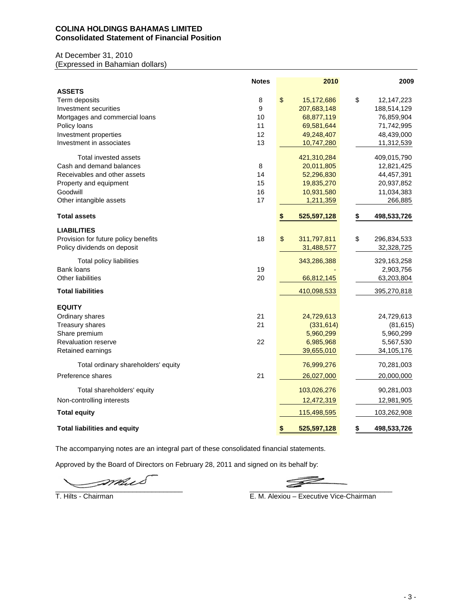# **COLINA HOLDINGS BAHAMAS LIMITED Consolidated Statement of Financial Position**

# At December 31, 2010

(Expressed in Bahamian dollars)

|                                      | <b>Notes</b> | 2010              | 2009               |
|--------------------------------------|--------------|-------------------|--------------------|
| <b>ASSETS</b>                        |              |                   |                    |
| Term deposits                        | 8            | \$<br>15,172,686  | \$<br>12, 147, 223 |
| Investment securities                | 9            | 207,683,148       | 188,514,129        |
| Mortgages and commercial loans       | 10           | 68,877,119        | 76,859,904         |
| Policy loans                         | 11           | 69,581,644        | 71,742,995         |
| Investment properties                | 12           | 49,248,407        | 48,439,000         |
| Investment in associates             | 13           | 10,747,280        | 11,312,539         |
| Total invested assets                |              | 421,310,284       | 409,015,790        |
| Cash and demand balances             | 8            | 20,011,805        | 12,821,425         |
| Receivables and other assets         | 14           | 52,296,830        | 44,457,391         |
| Property and equipment               | 15           | 19,835,270        | 20,937,852         |
| Goodwill                             | 16           | 10,931,580        | 11,034,383         |
| Other intangible assets              | 17           | 1,211,359         | 266,885            |
| <b>Total assets</b>                  |              | 525,597,128       | 498,533,726        |
| <b>LIABILITIES</b>                   |              |                   |                    |
| Provision for future policy benefits | 18           | \$<br>311,797,811 | \$<br>296,834,533  |
| Policy dividends on deposit          |              | 31,488,577        | 32,328,725         |
| Total policy liabilities             |              | 343,286,388       | 329,163,258        |
| <b>Bank loans</b>                    | 19           |                   | 2,903,756          |
| Other liabilities                    | 20           | 66,812,145        | 63,203,804         |
| <b>Total liabilities</b>             |              | 410,098,533       | 395,270,818        |
| <b>EQUITY</b>                        |              |                   |                    |
| Ordinary shares                      | 21           | 24,729,613        | 24,729,613         |
| Treasury shares                      | 21           | (331, 614)        | (81, 615)          |
| Share premium                        |              | 5,960,299         | 5,960,299          |
| <b>Revaluation reserve</b>           | 22           | 6,985,968         | 5,567,530          |
| Retained earnings                    |              | 39,655,010        | 34,105,176         |
| Total ordinary shareholders' equity  |              | 76,999,276        | 70,281,003         |
| Preference shares                    | 21           | 26,027,000        | 20,000,000         |
| Total shareholders' equity           |              | 103,026,276       | 90,281,003         |
| Non-controlling interests            |              | 12,472,319        | 12,981,905         |
| <b>Total equity</b>                  |              | 115,498,595       | 103,262,908        |
| <b>Total liabilities and equity</b>  |              | \$<br>525,597,128 | \$<br>498,533,726  |

The accompanying notes are an integral part of these consolidated financial statements.

Approved by the Board of Directors on February 28, 2011 and signed on its behalf by:

\_\_\_\_\_\_\_\_\_\_\_\_\_\_\_\_\_\_\_\_\_\_\_\_\_\_\_\_\_\_\_\_\_ \_\_\_\_\_\_\_\_\_\_\_\_\_\_\_\_\_\_\_\_\_\_\_\_\_\_\_\_\_\_\_\_\_\_\_\_\_

T. Hilts - Chairman **E. M. Alexiou – Executive Vice-Chairman**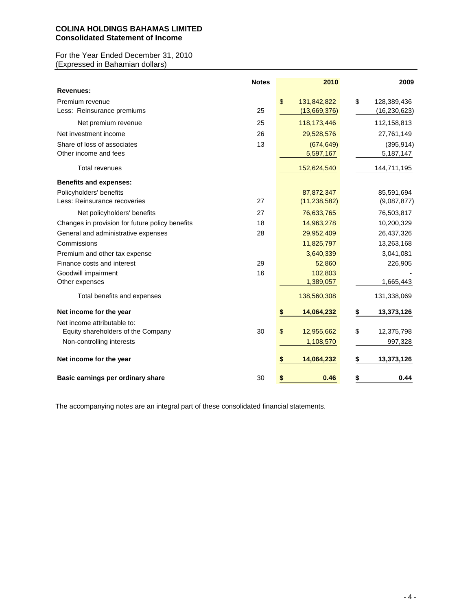# **COLINA HOLDINGS BAHAMAS LIMITED Consolidated Statement of Income**

For the Year Ended December 31, 2010 (Expressed in Bahamian dollars)

|                                                 | <b>Notes</b> | 2010                          | 2009              |
|-------------------------------------------------|--------------|-------------------------------|-------------------|
| <b>Revenues:</b>                                |              |                               |                   |
| Premium revenue                                 |              | $\mathfrak{L}$<br>131,842,822 | \$<br>128,389,436 |
| Less: Reinsurance premiums                      | 25           | (13,669,376)                  | (16, 230, 623)    |
| Net premium revenue                             | 25           | 118,173,446                   | 112,158,813       |
| Net investment income                           | 26           | 29,528,576                    | 27,761,149        |
| Share of loss of associates                     | 13           | (674, 649)                    | (395, 914)        |
| Other income and fees                           |              | 5,597,167                     | 5,187,147         |
| Total revenues                                  |              | 152,624,540                   | 144,711,195       |
| <b>Benefits and expenses:</b>                   |              |                               |                   |
| Policyholders' benefits                         |              | 87,872,347                    | 85,591,694        |
| Less: Reinsurance recoveries                    | 27           | (11, 238, 582)                | (9,087,877)       |
| Net policyholders' benefits                     | 27           | 76,633,765                    | 76,503,817        |
| Changes in provision for future policy benefits | 18           | 14,963,278                    | 10,200,329        |
| General and administrative expenses             | 28           | 29,952,409                    | 26,437,326        |
| Commissions                                     |              | 11,825,797                    | 13,263,168        |
| Premium and other tax expense                   |              | 3,640,339                     | 3,041,081         |
| Finance costs and interest                      | 29           | 52,860                        | 226,905           |
| Goodwill impairment                             | 16           | 102,803                       |                   |
| Other expenses                                  |              | 1,389,057                     | 1,665,443         |
| Total benefits and expenses                     |              | 138,560,308                   | 131,338,069       |
| Net income for the year                         |              | 14,064,232<br>\$              | \$<br>13,373,126  |
| Net income attributable to:                     |              |                               |                   |
| Equity shareholders of the Company              | 30           | \$<br>12,955,662              | \$<br>12,375,798  |
| Non-controlling interests                       |              | 1,108,570                     | 997,328           |
| Net income for the year                         |              | 14,064,232                    | 13,373,126        |
| Basic earnings per ordinary share               | 30           | 0.46<br>\$                    | \$<br>0.44        |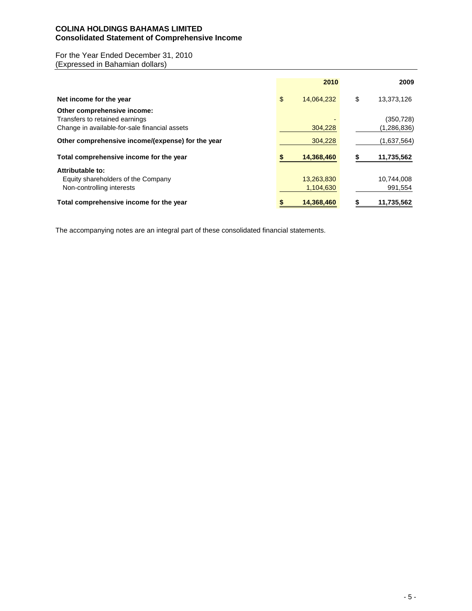# **COLINA HOLDINGS BAHAMAS LIMITED Consolidated Statement of Comprehensive Income**

# For the Year Ended December 31, 2010 (Expressed in Bahamian dollars)

|                                                                                                                | 2010                    |   | 2009                     |
|----------------------------------------------------------------------------------------------------------------|-------------------------|---|--------------------------|
| Net income for the year                                                                                        | \$<br>14.064.232        | S | 13,373,126               |
| Other comprehensive income:<br>Transfers to retained earnings<br>Change in available-for-sale financial assets | 304.228                 |   | (350,728)<br>(1,286,836) |
| Other comprehensive income/(expense) for the year                                                              | 304,228                 |   | (1,637,564)              |
| Total comprehensive income for the year                                                                        | 14,368,460              |   | 11,735,562               |
| Attributable to:<br>Equity shareholders of the Company<br>Non-controlling interests                            | 13,263,830<br>1,104,630 |   | 10,744,008<br>991,554    |
| Total comprehensive income for the year                                                                        | 14,368,460              |   | 11,735,562               |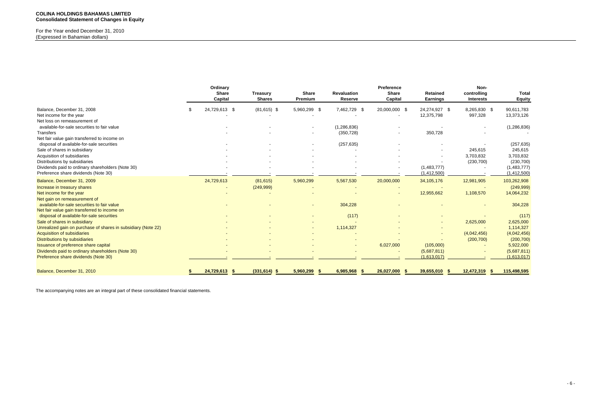|                                                               |    | Ordinary<br><b>Share</b><br>Capital | <b>Treasury</b><br><b>Shares</b> | <b>Share</b><br>Premium | <b>Revaluation</b><br><b>Reserve</b> | <b>Preference</b><br><b>Share</b><br>Capital | <b>Retained</b><br><b>Earnings</b> | Non-<br>controlling<br><b>Interests</b> | <b>Total</b><br><b>Equity</b> |
|---------------------------------------------------------------|----|-------------------------------------|----------------------------------|-------------------------|--------------------------------------|----------------------------------------------|------------------------------------|-----------------------------------------|-------------------------------|
| Balance, December 31, 2008                                    | S. | 24,729,613 \$                       | $(81, 615)$ \$                   | 5,960,299 \$            | 7,462,729 \$                         | 20,000,000 \$                                | 24,274,927 \$                      | 8,265,830 \$                            | 90,611,783                    |
| Net income for the year                                       |    |                                     |                                  |                         |                                      |                                              | 12,375,798                         | 997,328                                 | 13,373,126                    |
| Net loss on remeasurement of                                  |    |                                     |                                  |                         |                                      |                                              |                                    |                                         |                               |
| available-for-sale securities to fair value                   |    |                                     |                                  |                         | (1, 286, 836)                        |                                              |                                    |                                         | (1, 286, 836)                 |
| Transfers                                                     |    |                                     |                                  |                         | (350, 728)                           |                                              | 350,728                            |                                         |                               |
| Net fair value gain transferred to income on                  |    |                                     |                                  |                         |                                      |                                              |                                    |                                         |                               |
| disposal of available-for-sale securities                     |    |                                     |                                  |                         | (257, 635)                           |                                              |                                    |                                         | (257, 635)                    |
| Sale of shares in subsidiary                                  |    |                                     |                                  |                         |                                      |                                              |                                    | 245,615                                 | 245,615                       |
| Acquisition of subsidiaries                                   |    |                                     |                                  |                         |                                      |                                              |                                    | 3,703,832                               | 3,703,832                     |
| Distributions by subsidiaries                                 |    |                                     |                                  |                         |                                      |                                              |                                    | (230, 700)                              | (230, 700)                    |
| Dividends paid to ordinary shareholders (Note 30)             |    |                                     |                                  |                         |                                      |                                              | (1,483,777)                        |                                         | (1,483,777)                   |
| Preference share dividends (Note 30)                          |    |                                     |                                  |                         |                                      |                                              | (1,412,500)                        |                                         | (1,412,500)                   |
| Balance, December 31, 2009                                    |    | 24,729,613                          | (81, 615)                        | 5,960,299               | 5,567,530                            | 20,000,000                                   | 34, 105, 176                       | 12,981,905                              | 103,262,908                   |
| Increase in treasury shares                                   |    |                                     | (249,999)                        |                         |                                      |                                              |                                    |                                         | (249,999)                     |
| Net income for the year                                       |    |                                     |                                  |                         |                                      |                                              | 12,955,662                         | 1,108,570                               | 14,064,232                    |
| Net gain on remeasurement of                                  |    |                                     |                                  |                         |                                      |                                              |                                    |                                         |                               |
| available-for-sale securities to fair value                   |    |                                     |                                  |                         | 304,228                              |                                              |                                    |                                         | 304,228                       |
| Net fair value gain transferred to income on                  |    |                                     |                                  |                         |                                      |                                              |                                    |                                         |                               |
| disposal of available-for-sale securities                     |    |                                     |                                  |                         | (117)                                |                                              |                                    |                                         | (117)                         |
| Sale of shares in subsidiary                                  |    |                                     |                                  |                         |                                      |                                              |                                    | 2,625,000                               | 2,625,000                     |
| Unrealized gain on purchase of shares in subsidiary (Note 22) |    |                                     |                                  |                         | 1,114,327                            |                                              |                                    |                                         | 1,114,327                     |
| Acquisition of subsidiaries                                   |    |                                     |                                  |                         |                                      |                                              |                                    | (4,042,456)                             | (4,042,456)                   |
| Distributions by subsidiaries                                 |    |                                     |                                  |                         |                                      |                                              |                                    | (200, 700)                              | (200, 700)                    |
| Issuance of preference share capital                          |    |                                     |                                  |                         | $\sim$                               | 6,027,000                                    | (105,000)                          |                                         | 5,922,000                     |
| Dividends paid to ordinary shareholders (Note 30)             |    |                                     |                                  |                         |                                      |                                              | (5,687,811)                        |                                         | (5,687,811)                   |
| Preference share dividends (Note 30)                          |    |                                     |                                  |                         |                                      |                                              | (1,613,017)                        |                                         | (1,613,017)                   |
| Balance, December 31, 2010                                    |    | 24,729,613 \$                       | $(331, 614)$ \$                  | 5,960,299               | 6,985,968<br>- \$                    | 26,027,000 \$<br>- \$                        | 39,655,010 \$                      | 12,472,319                              | 115,498,595<br>- 5            |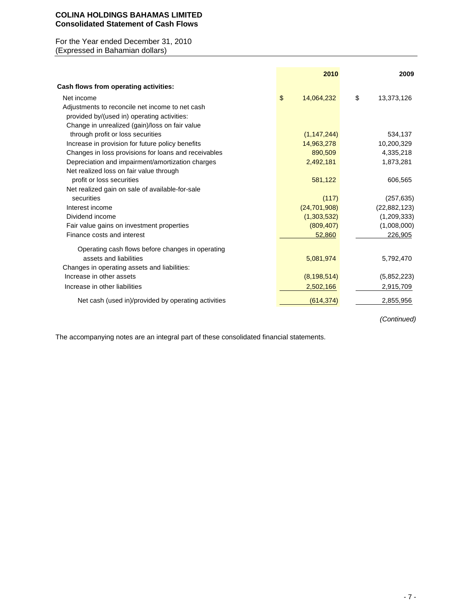# **COLINA HOLDINGS BAHAMAS LIMITED Consolidated Statement of Cash Flows**

# For the Year ended December 31, 2010 (Expressed in Bahamian dollars)

|                                                      | 2010             | 2009             |
|------------------------------------------------------|------------------|------------------|
| Cash flows from operating activities:                |                  |                  |
| Net income                                           | \$<br>14,064,232 | \$<br>13,373,126 |
| Adjustments to reconcile net income to net cash      |                  |                  |
| provided by/(used in) operating activities:          |                  |                  |
| Change in unrealized (gain)/loss on fair value       |                  |                  |
| through profit or loss securities                    | (1, 147, 244)    | 534,137          |
| Increase in provision for future policy benefits     | 14,963,278       | 10,200,329       |
| Changes in loss provisions for loans and receivables | 890,509          | 4,335,218        |
| Depreciation and impairment/amortization charges     | 2,492,181        | 1,873,281        |
| Net realized loss on fair value through              |                  |                  |
| profit or loss securities                            | 581,122          | 606,565          |
| Net realized gain on sale of available-for-sale      |                  |                  |
| securities                                           | (117)            | (257, 635)       |
| Interest income                                      | (24, 701, 908)   | (22, 882, 123)   |
| Dividend income                                      | (1,303,532)      | (1, 209, 333)    |
| Fair value gains on investment properties            | (809, 407)       | (1,008,000)      |
| Finance costs and interest                           | 52,860           | 226,905          |
| Operating cash flows before changes in operating     |                  |                  |
| assets and liabilities                               | 5,081,974        | 5,792,470        |
| Changes in operating assets and liabilities:         |                  |                  |
| Increase in other assets                             | (8, 198, 514)    | (5,852,223)      |
| Increase in other liabilities                        | 2,502,166        | 2,915,709        |
|                                                      |                  |                  |
| Net cash (used in)/provided by operating activities  | (614, 374)       | 2,855,956        |

*(Continued)*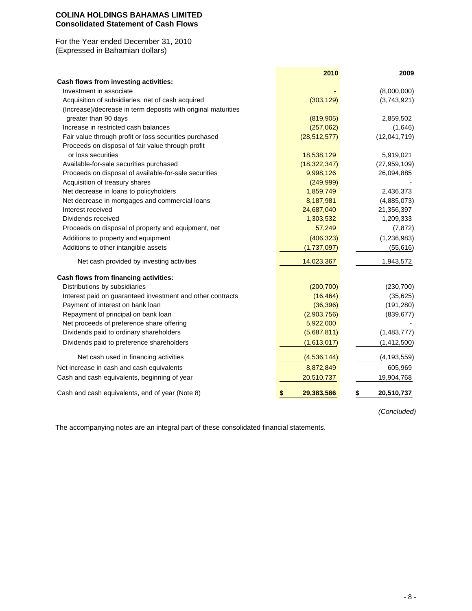# **COLINA HOLDINGS BAHAMAS LIMITED Consolidated Statement of Cash Flows**

# For the Year ended December 31, 2010 (Expressed in Bahamian dollars)

|                                                               | 2010           | 2009             |
|---------------------------------------------------------------|----------------|------------------|
| Cash flows from investing activities:                         |                |                  |
| Investment in associate                                       |                | (8,000,000)      |
| Acquisition of subsidiaries, net of cash acquired             | (303, 129)     | (3,743,921)      |
| (Increase)/decrease in term deposits with original maturities |                |                  |
| greater than 90 days                                          | (819, 905)     | 2,859,502        |
| Increase in restricted cash balances                          | (257,062)      | (1,646)          |
| Fair value through profit or loss securities purchased        | (28, 512, 577) | (12,041,719)     |
| Proceeds on disposal of fair value through profit             |                |                  |
| or loss securities                                            | 18,538,129     | 5,919,021        |
| Available-for-sale securities purchased                       | (18, 322, 347) | (27, 959, 109)   |
| Proceeds on disposal of available-for-sale securities         | 9,998,126      | 26,094,885       |
| Acquisition of treasury shares                                | (249, 999)     |                  |
| Net decrease in loans to policyholders                        | 1,859,749      | 2,436,373        |
| Net decrease in mortgages and commercial loans                | 8,187,981      | (4,885,073)      |
| Interest received                                             | 24,687,040     | 21,356,397       |
| Dividends received                                            | 1,303,532      | 1,209,333        |
| Proceeds on disposal of property and equipment, net           | 57,249         | (7, 872)         |
| Additions to property and equipment                           | (406, 323)     | (1, 236, 983)    |
| Additions to other intangible assets                          | (1,737,097)    | (55, 616)        |
| Net cash provided by investing activities                     | 14,023,367     | 1,943,572        |
| Cash flows from financing activities:                         |                |                  |
| Distributions by subsidiaries                                 | (200, 700)     | (230, 700)       |
| Interest paid on guaranteed investment and other contracts    | (16, 464)      | (35,625)         |
| Payment of interest on bank loan                              | (36, 396)      | (191, 280)       |
| Repayment of principal on bank loan                           | (2,903,756)    | (839, 677)       |
| Net proceeds of preference share offering                     | 5,922,000      |                  |
| Dividends paid to ordinary shareholders                       | (5,687,811)    | (1,483,777)      |
| Dividends paid to preference shareholders                     | (1,613,017)    | (1,412,500)      |
| Net cash used in financing activities                         | (4, 536, 144)  | (4, 193, 559)    |
| Net increase in cash and cash equivalents                     | 8,872,849      | 605,969          |
| Cash and cash equivalents, beginning of year                  | 20,510,737     | 19,904,768       |
| Cash and cash equivalents, end of year (Note 8)               | 29,383,586     | \$<br>20,510,737 |

*(Concluded)*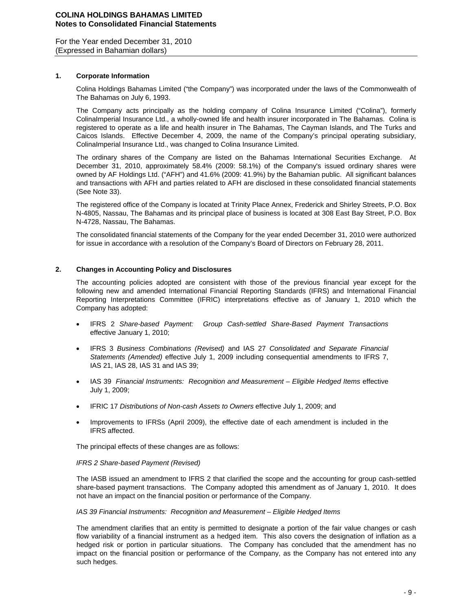# **1. Corporate Information**

Colina Holdings Bahamas Limited ("the Company") was incorporated under the laws of the Commonwealth of The Bahamas on July 6, 1993.

The Company acts principally as the holding company of Colina Insurance Limited ("Colina"), formerly ColinaImperial Insurance Ltd., a wholly-owned life and health insurer incorporated in The Bahamas. Colina is registered to operate as a life and health insurer in The Bahamas, The Cayman Islands, and The Turks and Caicos Islands. Effective December 4, 2009, the name of the Company's principal operating subsidiary, ColinaImperial Insurance Ltd., was changed to Colina Insurance Limited.

The ordinary shares of the Company are listed on the Bahamas International Securities Exchange. At December 31, 2010, approximately 58.4% (2009: 58.1%) of the Company's issued ordinary shares were owned by AF Holdings Ltd. ("AFH") and 41.6% (2009: 41.9%) by the Bahamian public. All significant balances and transactions with AFH and parties related to AFH are disclosed in these consolidated financial statements (See Note 33).

The registered office of the Company is located at Trinity Place Annex, Frederick and Shirley Streets, P.O. Box N-4805, Nassau, The Bahamas and its principal place of business is located at 308 East Bay Street, P.O. Box N-4728, Nassau, The Bahamas.

The consolidated financial statements of the Company for the year ended December 31, 2010 were authorized for issue in accordance with a resolution of the Company's Board of Directors on February 28, 2011.

# **2. Changes in Accounting Policy and Disclosures**

The accounting policies adopted are consistent with those of the previous financial year except for the following new and amended International Financial Reporting Standards (IFRS) and International Financial Reporting Interpretations Committee (IFRIC) interpretations effective as of January 1, 2010 which the Company has adopted:

- IFRS 2 *Share-based Payment: Group Cash-settled Share-Based Payment Transactions*  effective January 1, 2010;
- IFRS 3 *Business Combinations (Revised)* and IAS 27 *Consolidated and Separate Financial Statements (Amended)* effective July 1, 2009 including consequential amendments to IFRS 7, IAS 21, IAS 28, IAS 31 and IAS 39;
- IAS 39 Financial Instruments: Recognition and Measurement Eligible Hedged Items effective July 1, 2009;
- IFRIC 17 *Distributions of Non-cash Assets to Owners* effective July 1, 2009; and
- Improvements to IFRSs (April 2009), the effective date of each amendment is included in the IFRS affected.

The principal effects of these changes are as follows:

# *IFRS 2 Share-based Payment (Revised)*

The IASB issued an amendment to IFRS 2 that clarified the scope and the accounting for group cash-settled share-based payment transactions. The Company adopted this amendment as of January 1, 2010. It does not have an impact on the financial position or performance of the Company.

# *IAS 39 Financial Instruments: Recognition and Measurement – Eligible Hedged Items*

The amendment clarifies that an entity is permitted to designate a portion of the fair value changes or cash flow variability of a financial instrument as a hedged item. This also covers the designation of inflation as a hedged risk or portion in particular situations. The Company has concluded that the amendment has no impact on the financial position or performance of the Company, as the Company has not entered into any such hedges.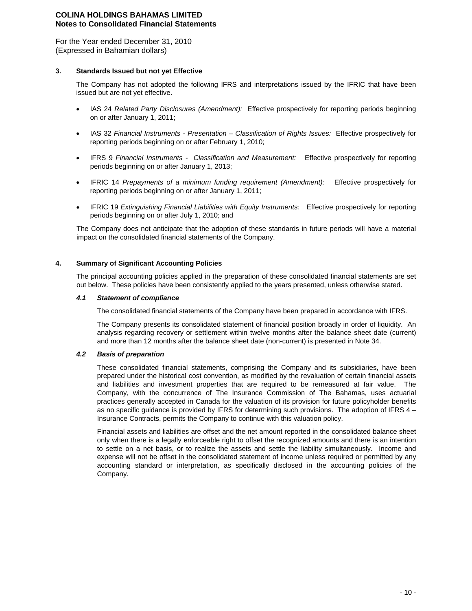For the Year ended December 31, 2010 (Expressed in Bahamian dollars)

# **3. Standards Issued but not yet Effective**

The Company has not adopted the following IFRS and interpretations issued by the IFRIC that have been issued but are not yet effective.

- IAS 24 *Related Party Disclosures (Amendment):* Effective prospectively for reporting periods beginning on or after January 1, 2011;
- IAS 32 *Financial Instruments Presentation Classification of Rights Issues:* Effective prospectively for reporting periods beginning on or after February 1, 2010;
- IFRS 9 *Financial Instruments Classification and Measurement:* Effective prospectively for reporting periods beginning on or after January 1, 2013;
- IFRIC 14 *Prepayments of a minimum funding requirement (Amendment):* Effective prospectively for reporting periods beginning on or after January 1, 2011;
- IFRIC 19 *Extinguishing Financial Liabilities with Equity Instruments:* Effective prospectively for reporting periods beginning on or after July 1, 2010; and

The Company does not anticipate that the adoption of these standards in future periods will have a material impact on the consolidated financial statements of the Company.

# **4. Summary of Significant Accounting Policies**

The principal accounting policies applied in the preparation of these consolidated financial statements are set out below. These policies have been consistently applied to the years presented, unless otherwise stated.

# *4.1 Statement of compliance*

The consolidated financial statements of the Company have been prepared in accordance with IFRS.

The Company presents its consolidated statement of financial position broadly in order of liquidity. An analysis regarding recovery or settlement within twelve months after the balance sheet date (current) and more than 12 months after the balance sheet date (non-current) is presented in Note 34.

# *4.2 Basis of preparation*

These consolidated financial statements, comprising the Company and its subsidiaries, have been prepared under the historical cost convention, as modified by the revaluation of certain financial assets and liabilities and investment properties that are required to be remeasured at fair value. The Company, with the concurrence of The Insurance Commission of The Bahamas, uses actuarial practices generally accepted in Canada for the valuation of its provision for future policyholder benefits as no specific guidance is provided by IFRS for determining such provisions. The adoption of IFRS 4 – Insurance Contracts, permits the Company to continue with this valuation policy.

Financial assets and liabilities are offset and the net amount reported in the consolidated balance sheet only when there is a legally enforceable right to offset the recognized amounts and there is an intention to settle on a net basis, or to realize the assets and settle the liability simultaneously. Income and expense will not be offset in the consolidated statement of income unless required or permitted by any accounting standard or interpretation, as specifically disclosed in the accounting policies of the Company.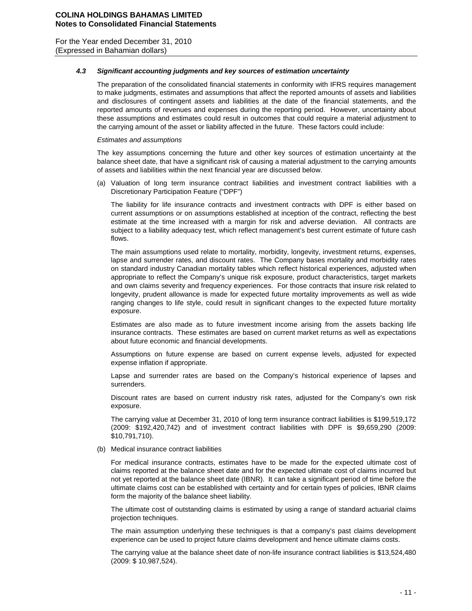# *4.3 Significant accounting judgments and key sources of estimation uncertainty*

The preparation of the consolidated financial statements in conformity with IFRS requires management to make judgments, estimates and assumptions that affect the reported amounts of assets and liabilities and disclosures of contingent assets and liabilities at the date of the financial statements, and the reported amounts of revenues and expenses during the reporting period. However, uncertainty about these assumptions and estimates could result in outcomes that could require a material adjustment to the carrying amount of the asset or liability affected in the future. These factors could include:

#### *Estimates and assumptions*

The key assumptions concerning the future and other key sources of estimation uncertainty at the balance sheet date, that have a significant risk of causing a material adjustment to the carrying amounts of assets and liabilities within the next financial year are discussed below.

(a) Valuation of long term insurance contract liabilities and investment contract liabilities with a Discretionary Participation Feature ("DPF")

The liability for life insurance contracts and investment contracts with DPF is either based on current assumptions or on assumptions established at inception of the contract, reflecting the best estimate at the time increased with a margin for risk and adverse deviation. All contracts are subject to a liability adequacy test, which reflect management's best current estimate of future cash flows.

The main assumptions used relate to mortality, morbidity, longevity, investment returns, expenses, lapse and surrender rates, and discount rates. The Company bases mortality and morbidity rates on standard industry Canadian mortality tables which reflect historical experiences, adjusted when appropriate to reflect the Company's unique risk exposure, product characteristics, target markets and own claims severity and frequency experiences. For those contracts that insure risk related to longevity, prudent allowance is made for expected future mortality improvements as well as wide ranging changes to life style, could result in significant changes to the expected future mortality exposure.

Estimates are also made as to future investment income arising from the assets backing life insurance contracts. These estimates are based on current market returns as well as expectations about future economic and financial developments.

Assumptions on future expense are based on current expense levels, adjusted for expected expense inflation if appropriate.

Lapse and surrender rates are based on the Company's historical experience of lapses and surrenders.

Discount rates are based on current industry risk rates, adjusted for the Company's own risk exposure.

The carrying value at December 31, 2010 of long term insurance contract liabilities is \$199,519,172 (2009: \$192,420,742) and of investment contract liabilities with DPF is \$9,659,290 (2009: \$10,791,710).

(b) Medical insurance contract liabilities

For medical insurance contracts, estimates have to be made for the expected ultimate cost of claims reported at the balance sheet date and for the expected ultimate cost of claims incurred but not yet reported at the balance sheet date (IBNR). It can take a significant period of time before the ultimate claims cost can be established with certainty and for certain types of policies, IBNR claims form the majority of the balance sheet liability.

The ultimate cost of outstanding claims is estimated by using a range of standard actuarial claims projection techniques.

The main assumption underlying these techniques is that a company's past claims development experience can be used to project future claims development and hence ultimate claims costs.

The carrying value at the balance sheet date of non-life insurance contract liabilities is \$13,524,480 (2009: \$ 10,987,524).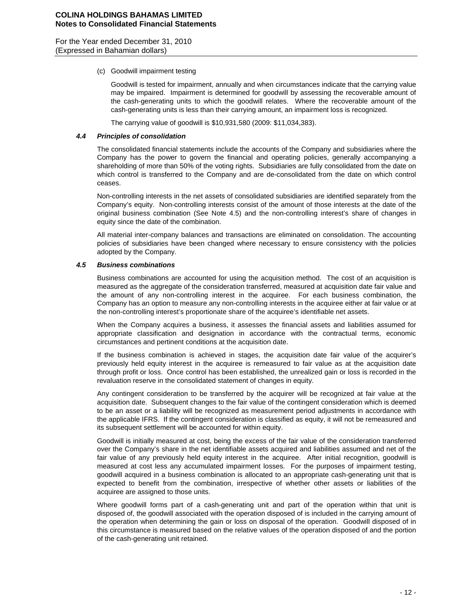#### (c) Goodwill impairment testing

Goodwill is tested for impairment, annually and when circumstances indicate that the carrying value may be impaired. Impairment is determined for goodwill by assessing the recoverable amount of the cash-generating units to which the goodwill relates. Where the recoverable amount of the cash-generating units is less than their carrying amount, an impairment loss is recognized.

The carrying value of goodwill is \$10,931,580 (2009: \$11,034,383).

# *4.4 Principles of consolidation*

The consolidated financial statements include the accounts of the Company and subsidiaries where the Company has the power to govern the financial and operating policies, generally accompanying a shareholding of more than 50% of the voting rights. Subsidiaries are fully consolidated from the date on which control is transferred to the Company and are de-consolidated from the date on which control ceases.

Non-controlling interests in the net assets of consolidated subsidiaries are identified separately from the Company's equity. Non-controlling interests consist of the amount of those interests at the date of the original business combination (See Note 4.5) and the non-controlling interest's share of changes in equity since the date of the combination.

All material inter-company balances and transactions are eliminated on consolidation. The accounting policies of subsidiaries have been changed where necessary to ensure consistency with the policies adopted by the Company.

# *4.5 Business combinations*

Business combinations are accounted for using the acquisition method. The cost of an acquisition is measured as the aggregate of the consideration transferred, measured at acquisition date fair value and the amount of any non-controlling interest in the acquiree. For each business combination, the Company has an option to measure any non-controlling interests in the acquiree either at fair value or at the non-controlling interest's proportionate share of the acquiree's identifiable net assets.

When the Company acquires a business, it assesses the financial assets and liabilities assumed for appropriate classification and designation in accordance with the contractual terms, economic circumstances and pertinent conditions at the acquisition date.

If the business combination is achieved in stages, the acquisition date fair value of the acquirer's previously held equity interest in the acquiree is remeasured to fair value as at the acquisition date through profit or loss. Once control has been established, the unrealized gain or loss is recorded in the revaluation reserve in the consolidated statement of changes in equity.

Any contingent consideration to be transferred by the acquirer will be recognized at fair value at the acquisition date. Subsequent changes to the fair value of the contingent consideration which is deemed to be an asset or a liability will be recognized as measurement period adjustments in accordance with the applicable IFRS. If the contingent consideration is classified as equity, it will not be remeasured and its subsequent settlement will be accounted for within equity.

Goodwill is initially measured at cost, being the excess of the fair value of the consideration transferred over the Company's share in the net identifiable assets acquired and liabilities assumed and net of the fair value of any previously held equity interest in the acquiree. After initial recognition, goodwill is measured at cost less any accumulated impairment losses. For the purposes of impairment testing, goodwill acquired in a business combination is allocated to an appropriate cash-generating unit that is expected to benefit from the combination, irrespective of whether other assets or liabilities of the acquiree are assigned to those units.

Where goodwill forms part of a cash-generating unit and part of the operation within that unit is disposed of, the goodwill associated with the operation disposed of is included in the carrying amount of the operation when determining the gain or loss on disposal of the operation. Goodwill disposed of in this circumstance is measured based on the relative values of the operation disposed of and the portion of the cash-generating unit retained.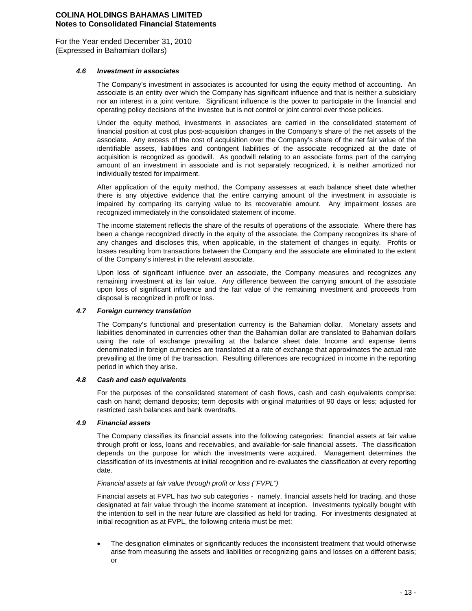# *4.6 Investment in associates*

The Company's investment in associates is accounted for using the equity method of accounting. An associate is an entity over which the Company has significant influence and that is neither a subsidiary nor an interest in a joint venture. Significant influence is the power to participate in the financial and operating policy decisions of the investee but is not control or joint control over those policies.

Under the equity method, investments in associates are carried in the consolidated statement of financial position at cost plus post-acquisition changes in the Company's share of the net assets of the associate. Any excess of the cost of acquisition over the Company's share of the net fair value of the identifiable assets, liabilities and contingent liabilities of the associate recognized at the date of acquisition is recognized as goodwill. As goodwill relating to an associate forms part of the carrying amount of an investment in associate and is not separately recognized, it is neither amortized nor individually tested for impairment.

After application of the equity method, the Company assesses at each balance sheet date whether there is any objective evidence that the entire carrying amount of the investment in associate is impaired by comparing its carrying value to its recoverable amount. Any impairment losses are recognized immediately in the consolidated statement of income.

The income statement reflects the share of the results of operations of the associate. Where there has been a change recognized directly in the equity of the associate, the Company recognizes its share of any changes and discloses this, when applicable, in the statement of changes in equity. Profits or losses resulting from transactions between the Company and the associate are eliminated to the extent of the Company's interest in the relevant associate.

Upon loss of significant influence over an associate, the Company measures and recognizes any remaining investment at its fair value. Any difference between the carrying amount of the associate upon loss of significant influence and the fair value of the remaining investment and proceeds from disposal is recognized in profit or loss.

# *4.7 Foreign currency translation*

The Company's functional and presentation currency is the Bahamian dollar. Monetary assets and liabilities denominated in currencies other than the Bahamian dollar are translated to Bahamian dollars using the rate of exchange prevailing at the balance sheet date. Income and expense items denominated in foreign currencies are translated at a rate of exchange that approximates the actual rate prevailing at the time of the transaction. Resulting differences are recognized in income in the reporting period in which they arise.

#### *4.8 Cash and cash equivalents*

For the purposes of the consolidated statement of cash flows, cash and cash equivalents comprise: cash on hand; demand deposits; term deposits with original maturities of 90 days or less; adjusted for restricted cash balances and bank overdrafts.

# *4.9 Financial assets*

The Company classifies its financial assets into the following categories: financial assets at fair value through profit or loss, loans and receivables, and available-for-sale financial assets. The classification depends on the purpose for which the investments were acquired. Management determines the classification of its investments at initial recognition and re-evaluates the classification at every reporting date.

#### *Financial assets at fair value through profit or loss ("FVPL")*

Financial assets at FVPL has two sub categories - namely, financial assets held for trading, and those designated at fair value through the income statement at inception. Investments typically bought with the intention to sell in the near future are classified as held for trading. For investments designated at initial recognition as at FVPL, the following criteria must be met:

The designation eliminates or significantly reduces the inconsistent treatment that would otherwise arise from measuring the assets and liabilities or recognizing gains and losses on a different basis; or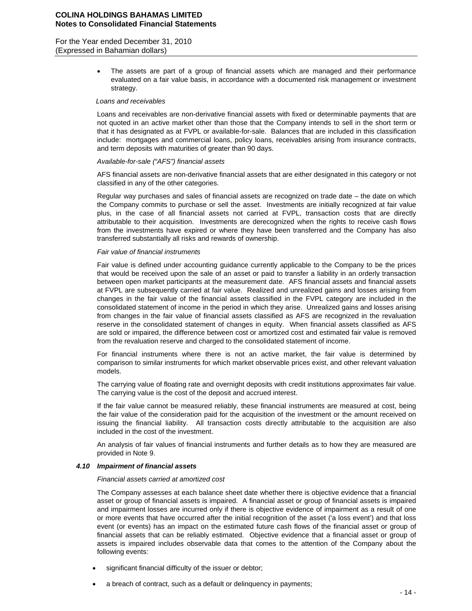> The assets are part of a group of financial assets which are managed and their performance evaluated on a fair value basis, in accordance with a documented risk management or investment strategy.

#### *Loans and receivables*

Loans and receivables are non-derivative financial assets with fixed or determinable payments that are not quoted in an active market other than those that the Company intends to sell in the short term or that it has designated as at FVPL or available-for-sale. Balances that are included in this classification include: mortgages and commercial loans, policy loans, receivables arising from insurance contracts, and term deposits with maturities of greater than 90 days.

#### *Available-for-sale ("AFS") financial assets*

AFS financial assets are non-derivative financial assets that are either designated in this category or not classified in any of the other categories.

Regular way purchases and sales of financial assets are recognized on trade date – the date on which the Company commits to purchase or sell the asset. Investments are initially recognized at fair value plus, in the case of all financial assets not carried at FVPL, transaction costs that are directly attributable to their acquisition. Investments are derecognized when the rights to receive cash flows from the investments have expired or where they have been transferred and the Company has also transferred substantially all risks and rewards of ownership.

#### *Fair value of financial instruments*

Fair value is defined under accounting guidance currently applicable to the Company to be the prices that would be received upon the sale of an asset or paid to transfer a liability in an orderly transaction between open market participants at the measurement date. AFS financial assets and financial assets at FVPL are subsequently carried at fair value. Realized and unrealized gains and losses arising from changes in the fair value of the financial assets classified in the FVPL category are included in the consolidated statement of income in the period in which they arise. Unrealized gains and losses arising from changes in the fair value of financial assets classified as AFS are recognized in the revaluation reserve in the consolidated statement of changes in equity. When financial assets classified as AFS are sold or impaired, the difference between cost or amortized cost and estimated fair value is removed from the revaluation reserve and charged to the consolidated statement of income.

For financial instruments where there is not an active market, the fair value is determined by comparison to similar instruments for which market observable prices exist, and other relevant valuation models.

The carrying value of floating rate and overnight deposits with credit institutions approximates fair value. The carrying value is the cost of the deposit and accrued interest.

If the fair value cannot be measured reliably, these financial instruments are measured at cost, being the fair value of the consideration paid for the acquisition of the investment or the amount received on issuing the financial liability. All transaction costs directly attributable to the acquisition are also included in the cost of the investment.

An analysis of fair values of financial instruments and further details as to how they are measured are provided in Note 9.

# *4.10 Impairment of financial assets*

#### *Financial assets carried at amortized cost*

The Company assesses at each balance sheet date whether there is objective evidence that a financial asset or group of financial assets is impaired. A financial asset or group of financial assets is impaired and impairment losses are incurred only if there is objective evidence of impairment as a result of one or more events that have occurred after the initial recognition of the asset ('a loss event') and that loss event (or events) has an impact on the estimated future cash flows of the financial asset or group of financial assets that can be reliably estimated. Objective evidence that a financial asset or group of assets is impaired includes observable data that comes to the attention of the Company about the following events:

- significant financial difficulty of the issuer or debtor;
- a breach of contract, such as a default or delinguency in payments;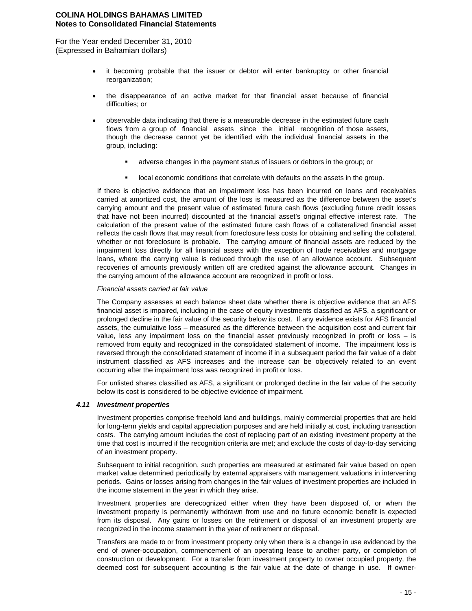- it becoming probable that the issuer or debtor will enter bankruptcy or other financial reorganization;
- the disappearance of an active market for that financial asset because of financial difficulties; or
- observable data indicating that there is a measurable decrease in the estimated future cash flows from a group of financial assets since the initial recognition of those assets, though the decrease cannot yet be identified with the individual financial assets in the group, including:
	- adverse changes in the payment status of issuers or debtors in the group; or
	- local economic conditions that correlate with defaults on the assets in the group.

If there is objective evidence that an impairment loss has been incurred on loans and receivables carried at amortized cost, the amount of the loss is measured as the difference between the asset's carrying amount and the present value of estimated future cash flows (excluding future credit losses that have not been incurred) discounted at the financial asset's original effective interest rate. The calculation of the present value of the estimated future cash flows of a collateralized financial asset reflects the cash flows that may result from foreclosure less costs for obtaining and selling the collateral, whether or not foreclosure is probable. The carrying amount of financial assets are reduced by the impairment loss directly for all financial assets with the exception of trade receivables and mortgage loans, where the carrying value is reduced through the use of an allowance account. Subsequent recoveries of amounts previously written off are credited against the allowance account. Changes in the carrying amount of the allowance account are recognized in profit or loss.

#### *Financial assets carried at fair value*

The Company assesses at each balance sheet date whether there is objective evidence that an AFS financial asset is impaired, including in the case of equity investments classified as AFS, a significant or prolonged decline in the fair value of the security below its cost. If any evidence exists for AFS financial assets, the cumulative loss – measured as the difference between the acquisition cost and current fair value, less any impairment loss on the financial asset previously recognized in profit or loss – is removed from equity and recognized in the consolidated statement of income. The impairment loss is reversed through the consolidated statement of income if in a subsequent period the fair value of a debt instrument classified as AFS increases and the increase can be objectively related to an event occurring after the impairment loss was recognized in profit or loss.

For unlisted shares classified as AFS, a significant or prolonged decline in the fair value of the security below its cost is considered to be objective evidence of impairment.

# *4.11 Investment properties*

Investment properties comprise freehold land and buildings, mainly commercial properties that are held for long-term yields and capital appreciation purposes and are held initially at cost, including transaction costs. The carrying amount includes the cost of replacing part of an existing investment property at the time that cost is incurred if the recognition criteria are met; and exclude the costs of day-to-day servicing of an investment property.

Subsequent to initial recognition, such properties are measured at estimated fair value based on open market value determined periodically by external appraisers with management valuations in intervening periods. Gains or losses arising from changes in the fair values of investment properties are included in the income statement in the year in which they arise.

Investment properties are derecognized either when they have been disposed of, or when the investment property is permanently withdrawn from use and no future economic benefit is expected from its disposal. Any gains or losses on the retirement or disposal of an investment property are recognized in the income statement in the year of retirement or disposal.

Transfers are made to or from investment property only when there is a change in use evidenced by the end of owner-occupation, commencement of an operating lease to another party, or completion of construction or development. For a transfer from investment property to owner occupied property, the deemed cost for subsequent accounting is the fair value at the date of change in use. If owner-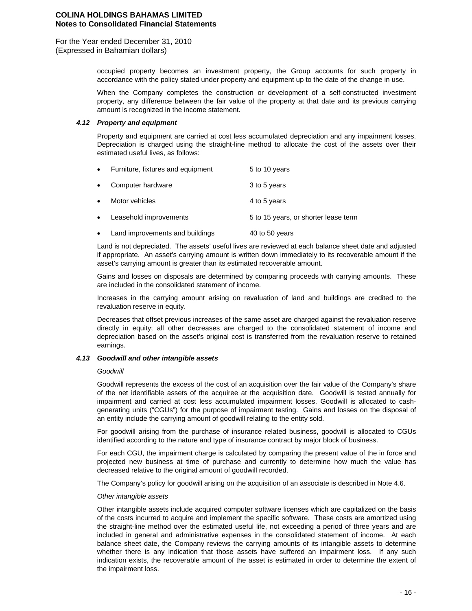> occupied property becomes an investment property, the Group accounts for such property in accordance with the policy stated under property and equipment up to the date of the change in use.

> When the Company completes the construction or development of a self-constructed investment property, any difference between the fair value of the property at that date and its previous carrying amount is recognized in the income statement.

#### *4.12 Property and equipment*

Property and equipment are carried at cost less accumulated depreciation and any impairment losses. Depreciation is charged using the straight-line method to allocate the cost of the assets over their estimated useful lives, as follows:

| $\bullet$ | Furniture, fixtures and equipment | 5 to 10 years                        |
|-----------|-----------------------------------|--------------------------------------|
| $\bullet$ | Computer hardware                 | 3 to 5 years                         |
| $\bullet$ | Motor vehicles                    | 4 to 5 years                         |
| $\bullet$ | Leasehold improvements            | 5 to 15 years, or shorter lease term |
| $\bullet$ | Land improvements and buildings   | 40 to 50 years                       |

Land is not depreciated. The assets' useful lives are reviewed at each balance sheet date and adjusted if appropriate. An asset's carrying amount is written down immediately to its recoverable amount if the asset's carrying amount is greater than its estimated recoverable amount.

Gains and losses on disposals are determined by comparing proceeds with carrying amounts. These are included in the consolidated statement of income.

Increases in the carrying amount arising on revaluation of land and buildings are credited to the revaluation reserve in equity.

Decreases that offset previous increases of the same asset are charged against the revaluation reserve directly in equity; all other decreases are charged to the consolidated statement of income and depreciation based on the asset's original cost is transferred from the revaluation reserve to retained earnings.

# *4.13 Goodwill and other intangible assets*

#### *Goodwill*

Goodwill represents the excess of the cost of an acquisition over the fair value of the Company's share of the net identifiable assets of the acquiree at the acquisition date. Goodwill is tested annually for impairment and carried at cost less accumulated impairment losses. Goodwill is allocated to cashgenerating units ("CGUs") for the purpose of impairment testing. Gains and losses on the disposal of an entity include the carrying amount of goodwill relating to the entity sold.

For goodwill arising from the purchase of insurance related business, goodwill is allocated to CGUs identified according to the nature and type of insurance contract by major block of business.

For each CGU, the impairment charge is calculated by comparing the present value of the in force and projected new business at time of purchase and currently to determine how much the value has decreased relative to the original amount of goodwill recorded.

The Company's policy for goodwill arising on the acquisition of an associate is described in Note 4.6.

#### *Other intangible assets*

Other intangible assets include acquired computer software licenses which are capitalized on the basis of the costs incurred to acquire and implement the specific software. These costs are amortized using the straight-line method over the estimated useful life, not exceeding a period of three years and are included in general and administrative expenses in the consolidated statement of income. At each balance sheet date, the Company reviews the carrying amounts of its intangible assets to determine whether there is any indication that those assets have suffered an impairment loss. If any such indication exists, the recoverable amount of the asset is estimated in order to determine the extent of the impairment loss.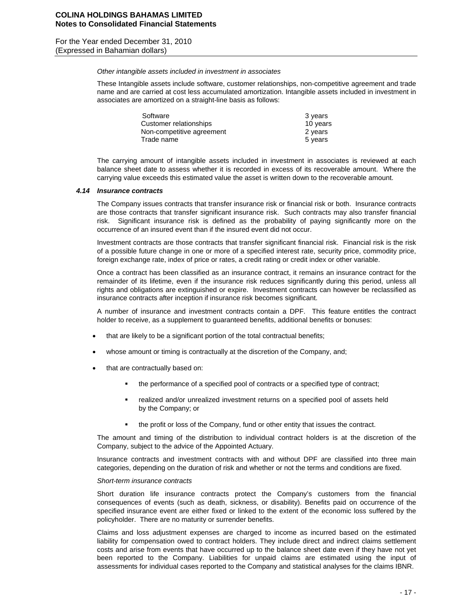For the Year ended December 31, 2010 (Expressed in Bahamian dollars)

#### *Other intangible assets included in investment in associates*

These Intangible assets include software, customer relationships, non-competitive agreement and trade name and are carried at cost less accumulated amortization. Intangible assets included in investment in associates are amortized on a straight-line basis as follows:

| Software                  | 3 years  |
|---------------------------|----------|
| Customer relationships    | 10 years |
| Non-competitive agreement | 2 years  |
| Trade name                | 5 years  |

The carrying amount of intangible assets included in investment in associates is reviewed at each balance sheet date to assess whether it is recorded in excess of its recoverable amount. Where the carrying value exceeds this estimated value the asset is written down to the recoverable amount.

# *4.14 Insurance contracts*

The Company issues contracts that transfer insurance risk or financial risk or both. Insurance contracts are those contracts that transfer significant insurance risk. Such contracts may also transfer financial risk. Significant insurance risk is defined as the probability of paying significantly more on the occurrence of an insured event than if the insured event did not occur.

Investment contracts are those contracts that transfer significant financial risk. Financial risk is the risk of a possible future change in one or more of a specified interest rate, security price, commodity price, foreign exchange rate, index of price or rates, a credit rating or credit index or other variable.

Once a contract has been classified as an insurance contract, it remains an insurance contract for the remainder of its lifetime, even if the insurance risk reduces significantly during this period, unless all rights and obligations are extinguished or expire. Investment contracts can however be reclassified as insurance contracts after inception if insurance risk becomes significant.

A number of insurance and investment contracts contain a DPF. This feature entitles the contract holder to receive, as a supplement to guaranteed benefits, additional benefits or bonuses:

- that are likely to be a significant portion of the total contractual benefits;
- whose amount or timing is contractually at the discretion of the Company, and;
- that are contractually based on:
	- the performance of a specified pool of contracts or a specified type of contract;
	- realized and/or unrealized investment returns on a specified pool of assets held by the Company; or
	- the profit or loss of the Company, fund or other entity that issues the contract.

The amount and timing of the distribution to individual contract holders is at the discretion of the Company, subject to the advice of the Appointed Actuary.

Insurance contracts and investment contracts with and without DPF are classified into three main categories, depending on the duration of risk and whether or not the terms and conditions are fixed.

#### *Short-term insurance contracts*

Short duration life insurance contracts protect the Company's customers from the financial consequences of events (such as death, sickness, or disability). Benefits paid on occurrence of the specified insurance event are either fixed or linked to the extent of the economic loss suffered by the policyholder. There are no maturity or surrender benefits.

Claims and loss adjustment expenses are charged to income as incurred based on the estimated liability for compensation owed to contract holders. They include direct and indirect claims settlement costs and arise from events that have occurred up to the balance sheet date even if they have not yet been reported to the Company. Liabilities for unpaid claims are estimated using the input of assessments for individual cases reported to the Company and statistical analyses for the claims IBNR.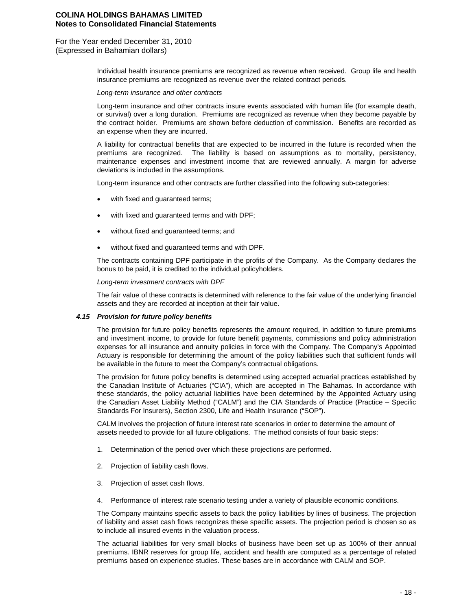> Individual health insurance premiums are recognized as revenue when received. Group life and health insurance premiums are recognized as revenue over the related contract periods.

#### *Long-term insurance and other contracts*

Long-term insurance and other contracts insure events associated with human life (for example death, or survival) over a long duration. Premiums are recognized as revenue when they become payable by the contract holder. Premiums are shown before deduction of commission. Benefits are recorded as an expense when they are incurred.

A liability for contractual benefits that are expected to be incurred in the future is recorded when the premiums are recognized. The liability is based on assumptions as to mortality, persistency, maintenance expenses and investment income that are reviewed annually. A margin for adverse deviations is included in the assumptions.

Long-term insurance and other contracts are further classified into the following sub-categories:

- with fixed and guaranteed terms;
- with fixed and guaranteed terms and with DPF;
- without fixed and guaranteed terms; and
- without fixed and guaranteed terms and with DPF.

The contracts containing DPF participate in the profits of the Company. As the Company declares the bonus to be paid, it is credited to the individual policyholders.

#### *Long-term investment contracts with DPF*

The fair value of these contracts is determined with reference to the fair value of the underlying financial assets and they are recorded at inception at their fair value.

#### *4.15 Provision for future policy benefits*

The provision for future policy benefits represents the amount required, in addition to future premiums and investment income, to provide for future benefit payments, commissions and policy administration expenses for all insurance and annuity policies in force with the Company. The Company's Appointed Actuary is responsible for determining the amount of the policy liabilities such that sufficient funds will be available in the future to meet the Company's contractual obligations.

The provision for future policy benefits is determined using accepted actuarial practices established by the Canadian Institute of Actuaries ("CIA"), which are accepted in The Bahamas. In accordance with these standards, the policy actuarial liabilities have been determined by the Appointed Actuary using the Canadian Asset Liability Method ("CALM") and the CIA Standards of Practice (Practice – Specific Standards For Insurers), Section 2300, Life and Health Insurance ("SOP").

CALM involves the projection of future interest rate scenarios in order to determine the amount of assets needed to provide for all future obligations. The method consists of four basic steps:

- 1. Determination of the period over which these projections are performed.
- 2. Projection of liability cash flows.
- 3. Projection of asset cash flows.
- 4. Performance of interest rate scenario testing under a variety of plausible economic conditions.

The Company maintains specific assets to back the policy liabilities by lines of business. The projection of liability and asset cash flows recognizes these specific assets. The projection period is chosen so as to include all insured events in the valuation process.

The actuarial liabilities for very small blocks of business have been set up as 100% of their annual premiums. IBNR reserves for group life, accident and health are computed as a percentage of related premiums based on experience studies. These bases are in accordance with CALM and SOP.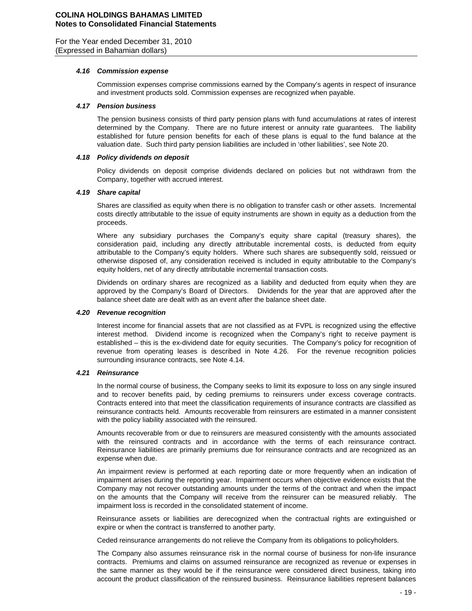#### *4.16 Commission expense*

Commission expenses comprise commissions earned by the Company's agents in respect of insurance and investment products sold. Commission expenses are recognized when payable.

#### *4.17 Pension business*

The pension business consists of third party pension plans with fund accumulations at rates of interest determined by the Company. There are no future interest or annuity rate guarantees. The liability established for future pension benefits for each of these plans is equal to the fund balance at the valuation date. Such third party pension liabilities are included in 'other liabilities', see Note 20.

#### *4.18 Policy dividends on deposit*

Policy dividends on deposit comprise dividends declared on policies but not withdrawn from the Company, together with accrued interest.

#### *4.19 Share capital*

Shares are classified as equity when there is no obligation to transfer cash or other assets. Incremental costs directly attributable to the issue of equity instruments are shown in equity as a deduction from the proceeds.

Where any subsidiary purchases the Company's equity share capital (treasury shares), the consideration paid, including any directly attributable incremental costs, is deducted from equity attributable to the Company's equity holders. Where such shares are subsequently sold, reissued or otherwise disposed of, any consideration received is included in equity attributable to the Company's equity holders, net of any directly attributable incremental transaction costs.

Dividends on ordinary shares are recognized as a liability and deducted from equity when they are approved by the Company's Board of Directors. Dividends for the year that are approved after the balance sheet date are dealt with as an event after the balance sheet date.

# *4.20 Revenue recognition*

Interest income for financial assets that are not classified as at FVPL is recognized using the effective interest method. Dividend income is recognized when the Company's right to receive payment is established – this is the ex-dividend date for equity securities. The Company's policy for recognition of revenue from operating leases is described in Note 4.26. For the revenue recognition policies surrounding insurance contracts, see Note 4.14.

# *4.21 Reinsurance*

In the normal course of business, the Company seeks to limit its exposure to loss on any single insured and to recover benefits paid, by ceding premiums to reinsurers under excess coverage contracts. Contracts entered into that meet the classification requirements of insurance contracts are classified as reinsurance contracts held. Amounts recoverable from reinsurers are estimated in a manner consistent with the policy liability associated with the reinsured.

Amounts recoverable from or due to reinsurers are measured consistently with the amounts associated with the reinsured contracts and in accordance with the terms of each reinsurance contract. Reinsurance liabilities are primarily premiums due for reinsurance contracts and are recognized as an expense when due.

An impairment review is performed at each reporting date or more frequently when an indication of impairment arises during the reporting year. Impairment occurs when objective evidence exists that the Company may not recover outstanding amounts under the terms of the contract and when the impact on the amounts that the Company will receive from the reinsurer can be measured reliably. The impairment loss is recorded in the consolidated statement of income.

Reinsurance assets or liabilities are derecognized when the contractual rights are extinguished or expire or when the contract is transferred to another party.

Ceded reinsurance arrangements do not relieve the Company from its obligations to policyholders.

The Company also assumes reinsurance risk in the normal course of business for non-life insurance contracts. Premiums and claims on assumed reinsurance are recognized as revenue or expenses in the same manner as they would be if the reinsurance were considered direct business, taking into account the product classification of the reinsured business. Reinsurance liabilities represent balances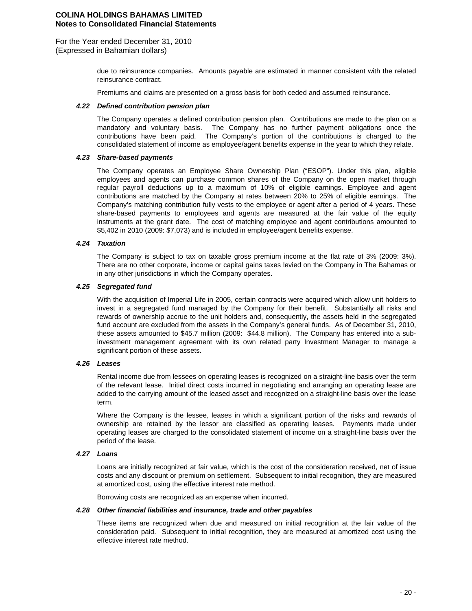> due to reinsurance companies. Amounts payable are estimated in manner consistent with the related reinsurance contract.

Premiums and claims are presented on a gross basis for both ceded and assumed reinsurance.

#### *4.22 Defined contribution pension plan*

The Company operates a defined contribution pension plan. Contributions are made to the plan on a mandatory and voluntary basis. The Company has no further payment obligations once the contributions have been paid. The Company's portion of the contributions is charged to the consolidated statement of income as employee/agent benefits expense in the year to which they relate.

# *4.23 Share-based payments*

The Company operates an Employee Share Ownership Plan ("ESOP"). Under this plan, eligible employees and agents can purchase common shares of the Company on the open market through regular payroll deductions up to a maximum of 10% of eligible earnings. Employee and agent contributions are matched by the Company at rates between 20% to 25% of eligible earnings. The Company's matching contribution fully vests to the employee or agent after a period of 4 years. These share-based payments to employees and agents are measured at the fair value of the equity instruments at the grant date. The cost of matching employee and agent contributions amounted to \$5,402 in 2010 (2009: \$7,073) and is included in employee/agent benefits expense.

# *4.24 Taxation*

The Company is subject to tax on taxable gross premium income at the flat rate of 3% (2009: 3%). There are no other corporate, income or capital gains taxes levied on the Company in The Bahamas or in any other jurisdictions in which the Company operates.

#### *4.25 Segregated fund*

With the acquisition of Imperial Life in 2005, certain contracts were acquired which allow unit holders to invest in a segregated fund managed by the Company for their benefit. Substantially all risks and rewards of ownership accrue to the unit holders and, consequently, the assets held in the segregated fund account are excluded from the assets in the Company's general funds. As of December 31, 2010, these assets amounted to \$45.7 million (2009: \$44.8 million). The Company has entered into a subinvestment management agreement with its own related party Investment Manager to manage a significant portion of these assets.

#### *4.26 Leases*

Rental income due from lessees on operating leases is recognized on a straight-line basis over the term of the relevant lease. Initial direct costs incurred in negotiating and arranging an operating lease are added to the carrying amount of the leased asset and recognized on a straight-line basis over the lease term.

Where the Company is the lessee, leases in which a significant portion of the risks and rewards of ownership are retained by the lessor are classified as operating leases. Payments made under operating leases are charged to the consolidated statement of income on a straight-line basis over the period of the lease.

# *4.27 Loans*

Loans are initially recognized at fair value, which is the cost of the consideration received, net of issue costs and any discount or premium on settlement. Subsequent to initial recognition, they are measured at amortized cost, using the effective interest rate method.

Borrowing costs are recognized as an expense when incurred.

#### *4.28 Other financial liabilities and insurance, trade and other payables*

These items are recognized when due and measured on initial recognition at the fair value of the consideration paid. Subsequent to initial recognition, they are measured at amortized cost using the effective interest rate method.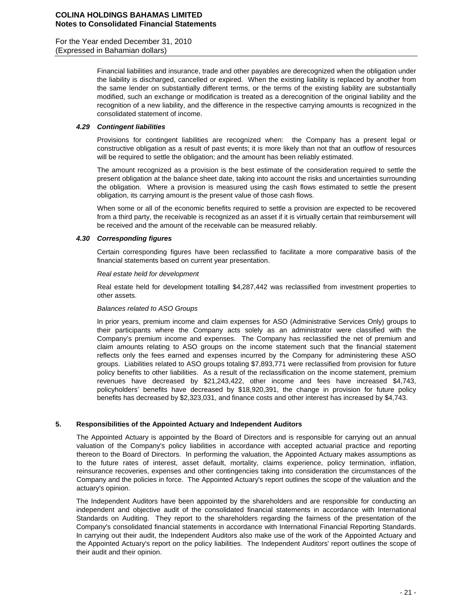> Financial liabilities and insurance, trade and other payables are derecognized when the obligation under the liability is discharged, cancelled or expired. When the existing liability is replaced by another from the same lender on substantially different terms, or the terms of the existing liability are substantially modified, such an exchange or modification is treated as a derecognition of the original liability and the recognition of a new liability, and the difference in the respective carrying amounts is recognized in the consolidated statement of income.

#### *4.29 Contingent liabilities*

Provisions for contingent liabilities are recognized when: the Company has a present legal or constructive obligation as a result of past events; it is more likely than not that an outflow of resources will be required to settle the obligation; and the amount has been reliably estimated.

The amount recognized as a provision is the best estimate of the consideration required to settle the present obligation at the balance sheet date, taking into account the risks and uncertainties surrounding the obligation. Where a provision is measured using the cash flows estimated to settle the present obligation, its carrying amount is the present value of those cash flows.

When some or all of the economic benefits required to settle a provision are expected to be recovered from a third party, the receivable is recognized as an asset if it is virtually certain that reimbursement will be received and the amount of the receivable can be measured reliably.

# *4.30 Corresponding figures*

Certain corresponding figures have been reclassified to facilitate a more comparative basis of the financial statements based on current year presentation.

#### *Real estate held for development*

Real estate held for development totalling \$4,287,442 was reclassified from investment properties to other assets.

#### *Balances related to ASO Groups*

In prior years, premium income and claim expenses for ASO (Administrative Services Only) groups to their participants where the Company acts solely as an administrator were classified with the Company's premium income and expenses. The Company has reclassified the net of premium and claim amounts relating to ASO groups on the income statement such that the financial statement reflects only the fees earned and expenses incurred by the Company for administering these ASO groups. Liabilities related to ASO groups totaling \$7,893,771 were reclassified from provision for future policy benefits to other liabilities. As a result of the reclassification on the income statement, premium revenues have decreased by \$21,243,422, other income and fees have increased \$4,743, policyholders' benefits have decreased by \$18,920,391, the change in provision for future policy benefits has decreased by \$2,323,031, and finance costs and other interest has increased by \$4,743.

# **5. Responsibilities of the Appointed Actuary and Independent Auditors**

The Appointed Actuary is appointed by the Board of Directors and is responsible for carrying out an annual valuation of the Company's policy liabilities in accordance with accepted actuarial practice and reporting thereon to the Board of Directors. In performing the valuation, the Appointed Actuary makes assumptions as to the future rates of interest, asset default, mortality, claims experience, policy termination, inflation, reinsurance recoveries, expenses and other contingencies taking into consideration the circumstances of the Company and the policies in force. The Appointed Actuary's report outlines the scope of the valuation and the actuary's opinion.

The Independent Auditors have been appointed by the shareholders and are responsible for conducting an independent and objective audit of the consolidated financial statements in accordance with International Standards on Auditing. They report to the shareholders regarding the fairness of the presentation of the Company's consolidated financial statements in accordance with International Financial Reporting Standards. In carrying out their audit, the Independent Auditors also make use of the work of the Appointed Actuary and the Appointed Actuary's report on the policy liabilities. The Independent Auditors' report outlines the scope of their audit and their opinion.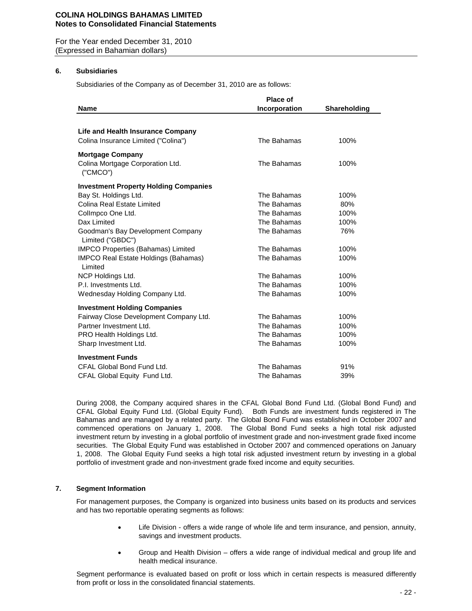For the Year ended December 31, 2010 (Expressed in Bahamian dollars)

# **6. Subsidiaries**

Subsidiaries of the Company as of December 31, 2010 are as follows:

|                                                        | Place of      |              |
|--------------------------------------------------------|---------------|--------------|
| <b>Name</b>                                            | Incorporation | Shareholding |
|                                                        |               |              |
| Life and Health Insurance Company                      |               |              |
| Colina Insurance Limited ("Colina")                    | The Bahamas   | 100%         |
| <b>Mortgage Company</b>                                |               |              |
| Colina Mortgage Corporation Ltd.<br>("CMCO")           | The Bahamas   | 100%         |
| <b>Investment Property Holding Companies</b>           |               |              |
| Bay St. Holdings Ltd.                                  | The Bahamas   | 100%         |
| Colina Real Estate Limited                             | The Bahamas   | 80%          |
| Collmpco One Ltd.                                      | The Bahamas   | 100%         |
| Dax Limited                                            | The Bahamas   | 100%         |
| Goodman's Bay Development Company<br>Limited ("GBDC")  | The Bahamas   | 76%          |
| <b>IMPCO Properties (Bahamas) Limited</b>              | The Bahamas   | 100%         |
| <b>IMPCO Real Estate Holdings (Bahamas)</b><br>Limited | The Bahamas   | 100%         |
| NCP Holdings Ltd.                                      | The Bahamas   | 100%         |
| P.I. Investments Ltd.                                  | The Bahamas   | 100%         |
| Wednesday Holding Company Ltd.                         | The Bahamas   | 100%         |
| <b>Investment Holding Companies</b>                    |               |              |
| Fairway Close Development Company Ltd.                 | The Bahamas   | 100%         |
| Partner Investment Ltd.                                | The Bahamas   | 100%         |
| PRO Health Holdings Ltd.                               | The Bahamas   | 100%         |
| Sharp Investment Ltd.                                  | The Bahamas   | 100%         |
| <b>Investment Funds</b>                                |               |              |
| CFAL Global Bond Fund Ltd.                             | The Bahamas   | 91%          |
| CFAL Global Equity Fund Ltd.                           | The Bahamas   | 39%          |

During 2008, the Company acquired shares in the CFAL Global Bond Fund Ltd. (Global Bond Fund) and CFAL Global Equity Fund Ltd. (Global Equity Fund). Both Funds are investment funds registered in The Bahamas and are managed by a related party. The Global Bond Fund was established in October 2007 and commenced operations on January 1, 2008. The Global Bond Fund seeks a high total risk adjusted investment return by investing in a global portfolio of investment grade and non-investment grade fixed income securities. The Global Equity Fund was established in October 2007 and commenced operations on January 1, 2008. The Global Equity Fund seeks a high total risk adjusted investment return by investing in a global portfolio of investment grade and non-investment grade fixed income and equity securities.

# **7. Segment Information**

For management purposes, the Company is organized into business units based on its products and services and has two reportable operating segments as follows:

- Life Division offers a wide range of whole life and term insurance, and pension, annuity, savings and investment products.
- Group and Health Division offers a wide range of individual medical and group life and health medical insurance.

Segment performance is evaluated based on profit or loss which in certain respects is measured differently from profit or loss in the consolidated financial statements.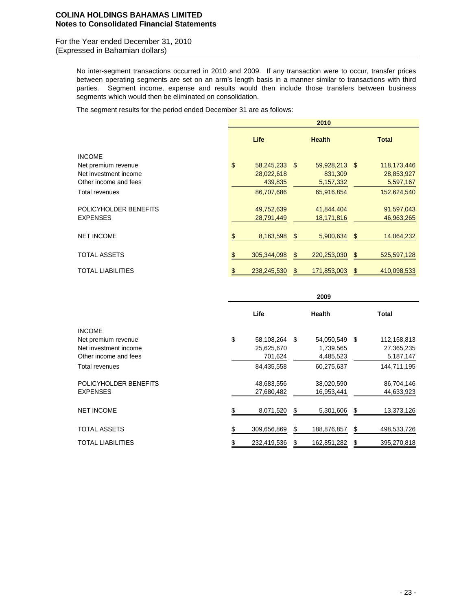For the Year ended December 31, 2010 (Expressed in Bahamian dollars)

> No inter-segment transactions occurred in 2010 and 2009. If any transaction were to occur, transfer prices between operating segments are set on an arm's length basis in a manner similar to transactions with third parties. Segment income, expense and results would then include those transfers between business segments which would then be eliminated on consolidation.

The segment results for the period ended December 31 are as follows:

|                          | 2010                |                   |                   |  |  |  |
|--------------------------|---------------------|-------------------|-------------------|--|--|--|
|                          | <b>Life</b>         | <b>Total</b>      |                   |  |  |  |
| <b>INCOME</b>            |                     |                   |                   |  |  |  |
| Net premium revenue      | \$<br>58,245,233 \$ | 59,928,213 \$     | 118,173,446       |  |  |  |
| Net investment income    | 28,022,618          | 831,309           | 28,853,927        |  |  |  |
| Other income and fees    | 439,835             | 5,157,332         | 5,597,167         |  |  |  |
| Total revenues           | 86,707,686          | 65,916,854        | 152,624,540       |  |  |  |
| POLICYHOLDER BENEFITS    | 49,752,639          | 41,844,404        | 91,597,043        |  |  |  |
| <b>EXPENSES</b>          | 28,791,449          | 18,171,816        | 46,963,265        |  |  |  |
| <b>NET INCOME</b>        | \$<br>8,163,598     | 5,900,634<br>\$   | 14,064,232<br>\$  |  |  |  |
| <b>TOTAL ASSETS</b>      | \$.<br>305,344,098  | \$<br>220,253,030 | 525,597,128<br>\$ |  |  |  |
| <b>TOTAL LIABILITIES</b> | 238,245,530         | \$<br>171,853,003 | 410,098,533<br>S  |  |  |  |

|                          |    | 2009        |      |               |    |             |  |
|--------------------------|----|-------------|------|---------------|----|-------------|--|
|                          |    | Life        |      | <b>Health</b> |    | Total       |  |
| <b>INCOME</b>            |    |             |      |               |    |             |  |
| Net premium revenue      | \$ | 58,108,264  | - \$ | 54,050,549    | -S | 112,158,813 |  |
| Net investment income    |    | 25,625,670  |      | 1,739,565     |    | 27,365,235  |  |
| Other income and fees    |    | 701,624     |      | 4,485,523     |    | 5,187,147   |  |
| Total revenues           |    | 84,435,558  |      | 60,275,637    |    | 144,711,195 |  |
| POLICYHOLDER BENEFITS    |    | 48,683,556  |      | 38,020,590    |    | 86,704,146  |  |
| <b>EXPENSES</b>          |    | 27,680,482  |      | 16,953,441    |    | 44,633,923  |  |
| <b>NET INCOME</b>        |    | 8,071,520   | \$   | 5,301,606     | S  | 13,373,126  |  |
| <b>TOTAL ASSETS</b>      | S  | 309,656,869 | \$   | 188,876,857   | S  | 498,533,726 |  |
| <b>TOTAL LIABILITIES</b> |    | 232,419,536 |      | 162,851,282   |    | 395,270,818 |  |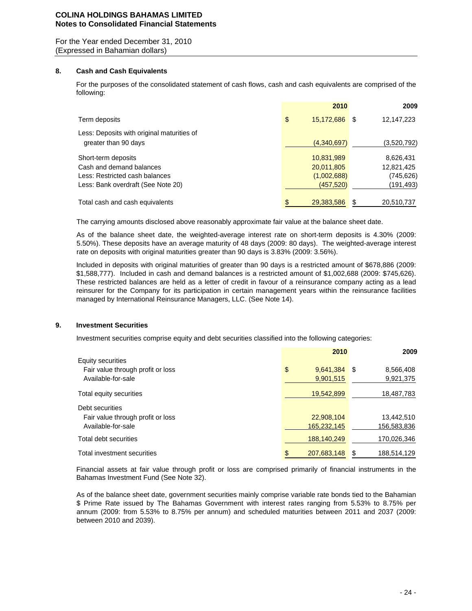For the Year ended December 31, 2010 (Expressed in Bahamian dollars)

# **8. Cash and Cash Equivalents**

For the purposes of the consolidated statement of cash flows, cash and cash equivalents are comprised of the following:

|                                            | 2010             | 2009             |
|--------------------------------------------|------------------|------------------|
| Term deposits                              | \$<br>15,172,686 | 12,147,223<br>'S |
| Less: Deposits with original maturities of |                  |                  |
| greater than 90 days                       | (4,340,697)      | (3,520,792)      |
| Short-term deposits                        | 10,831,989       | 8,626,431        |
| Cash and demand balances                   | 20,011,805       | 12,821,425       |
| Less: Restricted cash balances             | (1,002,688)      | (745, 626)       |
| Less: Bank overdraft (See Note 20)         | (457, 520)       | (191,493)        |
| Total cash and cash equivalents            | 29,383,586       | 20,510,737       |

The carrying amounts disclosed above reasonably approximate fair value at the balance sheet date.

As of the balance sheet date, the weighted-average interest rate on short-term deposits is 4.30% (2009: 5.50%). These deposits have an average maturity of 48 days (2009: 80 days). The weighted-average interest rate on deposits with original maturities greater than 90 days is 3.83% (2009: 3.56%).

Included in deposits with original maturities of greater than 90 days is a restricted amount of \$678,886 (2009: \$1,588,777). Included in cash and demand balances is a restricted amount of \$1,002,688 (2009: \$745,626). These restricted balances are held as a letter of credit in favour of a reinsurance company acting as a lead reinsurer for the Company for its participation in certain management years within the reinsurance facilities managed by International Reinsurance Managers, LLC. (See Note 14).

# **9. Investment Securities**

Investment securities comprise equity and debt securities classified into the following categories:

|                                   | 2010              | 2009              |
|-----------------------------------|-------------------|-------------------|
| <b>Equity securities</b>          |                   |                   |
| Fair value through profit or loss | \$<br>9,641,384   | 8,566,408<br>- \$ |
| Available-for-sale                | 9,901,515         | 9,921,375         |
| Total equity securities           | 19,542,899        | 18,487,783        |
| Debt securities                   |                   |                   |
| Fair value through profit or loss | 22,908,104        | 13,442,510        |
| Available-for-sale                | 165,232,145       | 156,583,836       |
| Total debt securities             | 188,140,249       | 170,026,346       |
| Total investment securities       | \$<br>207,683,148 | 188,514,129       |

Financial assets at fair value through profit or loss are comprised primarily of financial instruments in the Bahamas Investment Fund (See Note 32).

As of the balance sheet date, government securities mainly comprise variable rate bonds tied to the Bahamian \$ Prime Rate issued by The Bahamas Government with interest rates ranging from 5.53% to 8.75% per annum (2009: from 5.53% to 8.75% per annum) and scheduled maturities between 2011 and 2037 (2009: between 2010 and 2039).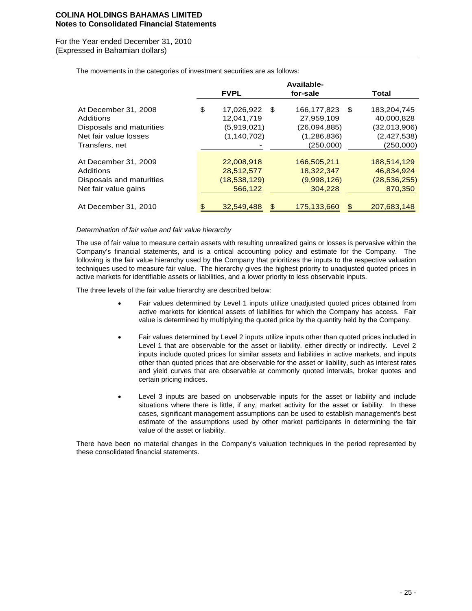For the Year ended December 31, 2010 (Expressed in Bahamian dollars)

The movements in the categories of investment securities are as follows:

|                                                                                                          |                                                                | Available-                                                                      |                                                                             |
|----------------------------------------------------------------------------------------------------------|----------------------------------------------------------------|---------------------------------------------------------------------------------|-----------------------------------------------------------------------------|
|                                                                                                          | <b>FVPL</b>                                                    | for-sale                                                                        | Total                                                                       |
| At December 31, 2008<br>Additions<br>Disposals and maturities<br>Net fair value losses<br>Transfers, net | 17,026,922<br>\$<br>12,041,719<br>(5,919,021)<br>(1, 140, 702) | 166,177,823<br>- \$<br>27,959,109<br>(26,094,885)<br>(1, 286, 836)<br>(250,000) | 183,204,745<br>-S<br>40,000,828<br>(32,013,906)<br>(2,427,538)<br>(250,000) |
| At December 31, 2009<br>Additions<br>Disposals and maturities<br>Net fair value gains                    | 22,008,918<br>28.512.577<br>(18,538,129)                       | 166,505,211<br>18.322.347<br>(9,998,126)<br>566,122<br>304,228                  | 188,514,129<br>46.834.924<br>(28, 536, 255)<br>870,350                      |
| At December 31, 2010                                                                                     | 32,549,488                                                     | \$<br>175,133,660                                                               | \$<br>207,683,148                                                           |

#### *Determination of fair value and fair value hierarchy*

The use of fair value to measure certain assets with resulting unrealized gains or losses is pervasive within the Company's financial statements, and is a critical accounting policy and estimate for the Company. The following is the fair value hierarchy used by the Company that prioritizes the inputs to the respective valuation techniques used to measure fair value. The hierarchy gives the highest priority to unadjusted quoted prices in active markets for identifiable assets or liabilities, and a lower priority to less observable inputs.

The three levels of the fair value hierarchy are described below:

- Fair values determined by Level 1 inputs utilize unadjusted quoted prices obtained from active markets for identical assets of liabilities for which the Company has access. Fair value is determined by multiplying the quoted price by the quantity held by the Company.
- Fair values determined by Level 2 inputs utilize inputs other than quoted prices included in Level 1 that are observable for the asset or liability, either directly or indirectly. Level 2 inputs include quoted prices for similar assets and liabilities in active markets, and inputs other than quoted prices that are observable for the asset or liability, such as interest rates and yield curves that are observable at commonly quoted intervals, broker quotes and certain pricing indices.
- Level 3 inputs are based on unobservable inputs for the asset or liability and include situations where there is little, if any, market activity for the asset or liability. In these cases, significant management assumptions can be used to establish management's best estimate of the assumptions used by other market participants in determining the fair value of the asset or liability.

There have been no material changes in the Company's valuation techniques in the period represented by these consolidated financial statements.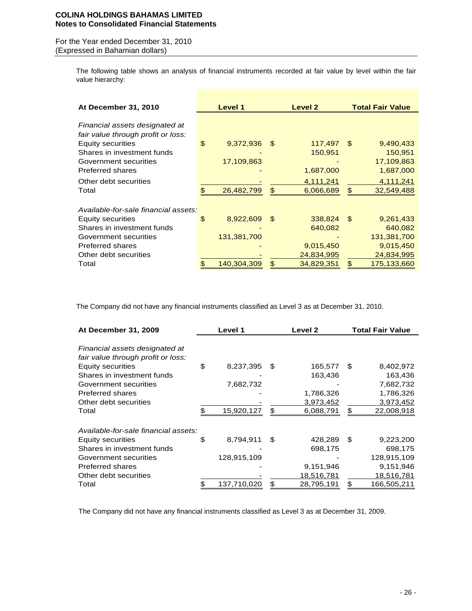For the Year ended December 31, 2010 (Expressed in Bahamian dollars)

> The following table shows an analysis of financial instruments recorded at fair value by level within the fair value hierarchy:

| At December 31, 2010                                                 | Level 1         | <b>Level 2</b>   | <b>Total Fair Value</b> |
|----------------------------------------------------------------------|-----------------|------------------|-------------------------|
| Financial assets designated at<br>fair value through profit or loss: |                 |                  |                         |
| Equity securities                                                    | \$<br>9,372,936 | - \$<br>117,497  | - \$<br>9,490,433       |
| Shares in investment funds                                           |                 | 150,951          | 150,951                 |
| Government securities                                                | 17,109,863      |                  | 17,109,863              |
| Preferred shares                                                     |                 | 1,687,000        | 1,687,000               |
| Other debt securities                                                |                 | 4,111,241        | 4,111,241               |
| Total                                                                | 26,482,799      | \$<br>6,066,689  | \$<br>32,549,488        |
|                                                                      |                 |                  |                         |
| Available-for-sale financial assets:                                 |                 |                  |                         |
| Equity securities                                                    | \$<br>8,922,609 | \$<br>338,824    | \$<br>9,261,433         |
| Shares in investment funds                                           |                 | 640,082          | 640,082                 |
| Government securities                                                | 131,381,700     |                  | 131,381,700             |
| <b>Preferred shares</b>                                              |                 | 9,015,450        | 9,015,450               |
| Other debt securities                                                |                 | 24,834,995       | 24,834,995              |
| Total                                                                | 140.304.309     | \$<br>34,829,351 | \$<br>175,133,660       |

The Company did not have any financial instruments classified as Level 3 as at December 31, 2010.

| At December 31, 2009                 | Level 1           | Level 2 |            | <b>Total Fair Value</b> |             |
|--------------------------------------|-------------------|---------|------------|-------------------------|-------------|
| Financial assets designated at       |                   |         |            |                         |             |
| fair value through profit or loss:   |                   |         |            |                         |             |
| Equity securities                    | \$<br>8,237,395   | \$      | 165,577    | \$                      | 8,402,972   |
| Shares in investment funds           |                   |         | 163,436    |                         | 163,436     |
| Government securities                | 7,682,732         |         |            |                         | 7,682,732   |
| Preferred shares                     |                   |         | 1,786,326  |                         | 1,786,326   |
| Other debt securities                |                   |         | 3,973,452  |                         | 3,973,452   |
| Total                                | 15,920,127        | \$      | 6,088,791  | \$                      | 22,008,918  |
| Available-for-sale financial assets: |                   |         |            |                         |             |
| Equity securities                    | \$<br>8,794,911   | \$      | 428,289    | \$                      | 9,223,200   |
| Shares in investment funds           |                   |         | 698,175    |                         | 698,175     |
| Government securities                | 128,915,109       |         |            |                         | 128,915,109 |
| <b>Preferred shares</b>              |                   |         | 9,151,946  |                         | 9,151,946   |
| Other debt securities                |                   |         | 18,516,781 |                         | 18,516,781  |
| Total                                | \$<br>137,710,020 | \$      | 28,795,191 | \$                      | 166,505,211 |

The Company did not have any financial instruments classified as Level 3 as at December 31, 2009.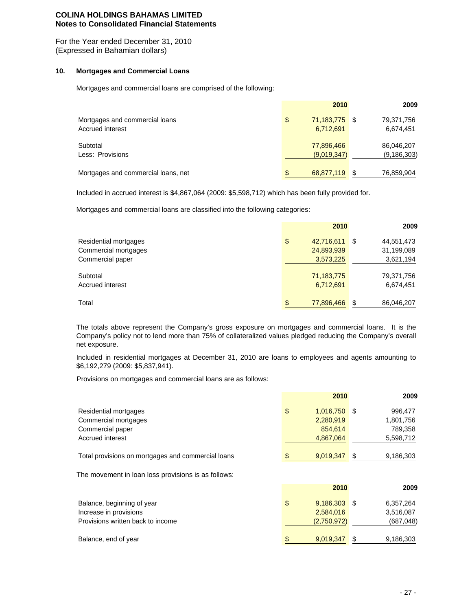For the Year ended December 31, 2010 (Expressed in Bahamian dollars)

# **10. Mortgages and Commercial Loans**

Mortgages and commercial loans are comprised of the following:

|                                     | 2010                | 2009          |
|-------------------------------------|---------------------|---------------|
| Mortgages and commercial loans      | \$<br>71,183,775 \$ | 79,371,756    |
| Accrued interest                    | 6,712,691           | 6,674,451     |
| Subtotal                            | 77,896,466          | 86,046,207    |
| Less: Provisions                    | (9,019,347)         | (9, 186, 303) |
| Mortgages and commercial loans, net | \$<br>68,877,119    | 76,859,904    |

Included in accrued interest is \$4,867,064 (2009: \$5,598,712) which has been fully provided for.

Mortgages and commercial loans are classified into the following categories:

|                                          | 2010                    | 2009                    |
|------------------------------------------|-------------------------|-------------------------|
| Residential mortgages                    | \$<br>42,716,611        | 44,551,473<br>- \$      |
| Commercial mortgages<br>Commercial paper | 24,893,939<br>3,573,225 | 31,199,089<br>3,621,194 |
| Subtotal                                 | 71,183,775              | 79,371,756              |
| Accrued interest                         | 6,712,691               | 6,674,451               |
| Total                                    | \$.<br>77,896,466       | 86,046,207<br>S         |

The totals above represent the Company's gross exposure on mortgages and commercial loans. It is the Company's policy not to lend more than 75% of collateralized values pledged reducing the Company's overall net exposure.

Included in residential mortgages at December 31, 2010 are loans to employees and agents amounting to \$6,192,279 (2009: \$5,837,941).

Provisions on mortgages and commercial loans are as follows:

|                                                     |    | 2010           | 2009            |
|-----------------------------------------------------|----|----------------|-----------------|
| Residential mortgages                               | \$ | $1,016,750$ \$ | 996,477         |
| Commercial mortgages                                |    | 2,280,919      | 1,801,756       |
| Commercial paper                                    |    | 854,614        | 789,358         |
| Accrued interest                                    |    | 4,867,064      | 5,598,712       |
| Total provisions on mortgages and commercial loans  |    | 9,019,347      | \$<br>9,186,303 |
| The movement in loan loss provisions is as follows: |    |                |                 |
|                                                     |    | 2010           | 2009            |
| Balance, beginning of year                          | \$ | $9,186,303$ \$ | 6,357,264       |
| Increase in provisions                              |    | 2,584,016      | 3,516,087       |
| Provisions written back to income                   |    | (2,750,972)    | (687, 048)      |
| Balance, end of year                                | S  | 9,019,347      | 9,186,303       |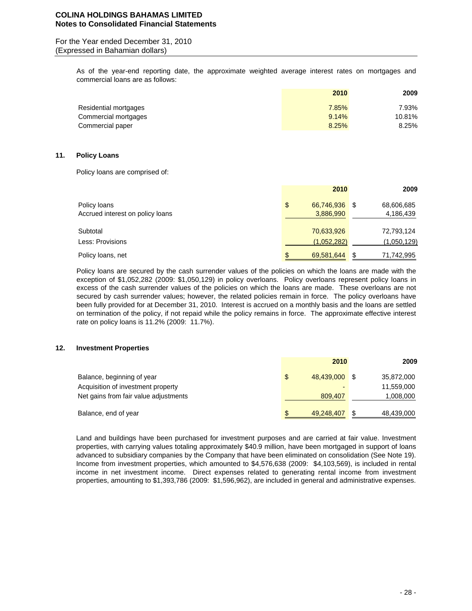# For the Year ended December 31, 2010 (Expressed in Bahamian dollars)

As of the year-end reporting date, the approximate weighted average interest rates on mortgages and commercial loans are as follows:

|                       | 2010  | 2009   |
|-----------------------|-------|--------|
| Residential mortgages | 7.85% | 7.93%  |
| Commercial mortgages  | 9.14% | 10.81% |
| Commercial paper      | 8.25% | 8.25%  |

# **11. Policy Loans**

Policy loans are comprised of:

|                                  |                | 2010        | 2009        |
|----------------------------------|----------------|-------------|-------------|
| Policy loans                     | $\mathfrak{L}$ | 66,746,936  | 68,606,685  |
| Accrued interest on policy loans |                | 3,886,990   | 4,186,439   |
| Subtotal                         |                | 70,633,926  | 72,793,124  |
| Less: Provisions                 |                | (1,052,282) | (1,050,129) |
| Policy loans, net                | \$             | 69,581,644  | 71,742,995  |

Policy loans are secured by the cash surrender values of the policies on which the loans are made with the exception of \$1,052,282 (2009: \$1,050,129) in policy overloans. Policy overloans represent policy loans in excess of the cash surrender values of the policies on which the loans are made. These overloans are not secured by cash surrender values; however, the related policies remain in force. The policy overloans have been fully provided for at December 31, 2010. Interest is accrued on a monthly basis and the loans are settled on termination of the policy, if not repaid while the policy remains in force. The approximate effective interest rate on policy loans is 11.2% (2009: 11.7%).

# **12. Investment Properties**

|                                       |    | 2010           | 2009       |
|---------------------------------------|----|----------------|------------|
| Balance, beginning of year            | \$ | 48.439.000     | 35,872,000 |
| Acquisition of investment property    |    | $\overline{a}$ | 11,559,000 |
| Net gains from fair value adjustments |    | 809,407        | 1,008,000  |
| Balance, end of year                  | S  | 49,248,407     | 48,439,000 |

Land and buildings have been purchased for investment purposes and are carried at fair value. Investment properties, with carrying values totaling approximately \$40.9 million, have been mortgaged in support of loans advanced to subsidiary companies by the Company that have been eliminated on consolidation (See Note 19). Income from investment properties, which amounted to \$4,576,638 (2009: \$4,103,569), is included in rental income in net investment income. Direct expenses related to generating rental income from investment properties, amounting to \$1,393,786 (2009: \$1,596,962), are included in general and administrative expenses.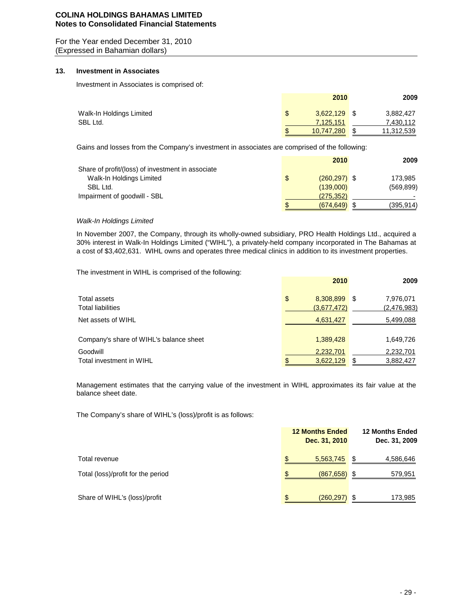For the Year ended December 31, 2010 (Expressed in Bahamian dollars)

# **13. Investment in Associates**

Investment in Associates is comprised of:

|                          | 2010             | 2009       |
|--------------------------|------------------|------------|
| Walk-In Holdings Limited | \$<br>3,622,129  | 3,882,427  |
| SBL Ltd.                 | 7.125.151        | 7.430.112  |
|                          | \$<br>10,747,280 | 11,312,539 |

Gains and losses from the Company's investment in associates are comprised of the following:

|                                                   | 2010                  | 2009       |
|---------------------------------------------------|-----------------------|------------|
| Share of profit/(loss) of investment in associate |                       |            |
| Walk-In Holdings Limited                          | \$<br>$(260, 297)$ \$ | 173.985    |
| SBL Ltd.                                          | (139,000)             | (569, 899) |
| Impairment of goodwill - SBL                      | (275, 352)            |            |
|                                                   | \$<br>$(674.649)$ \$  | (395, 914) |

# *Walk-In Holdings Limited*

In November 2007, the Company, through its wholly-owned subsidiary, PRO Health Holdings Ltd., acquired a 30% interest in Walk-In Holdings Limited ("WIHL"), a privately-held company incorporated in The Bahamas at a cost of \$3,402,631. WIHL owns and operates three medical clinics in addition to its investment properties.

The investment in WIHL is comprised of the following:

|                                          | 2010                           | 2009                             |
|------------------------------------------|--------------------------------|----------------------------------|
| Total assets<br><b>Total liabilities</b> | \$<br>8,308,899<br>(3,677,472) | 7,976,071<br>l Si<br>(2,476,983) |
| Net assets of WIHL                       | 4,631,427                      | 5,499,088                        |
| Company's share of WIHL's balance sheet  | 1,389,428                      | 1,649,726                        |
| Goodwill                                 | 2,232,701                      | 2,232,701                        |
| Total investment in WIHL                 | 3,622,129                      | 3,882,427                        |

Management estimates that the carrying value of the investment in WIHL approximates its fair value at the balance sheet date.

The Company's share of WIHL's (loss)/profit is as follows:

|                                    | <b>12 Months Ended</b><br>Dec. 31, 2010 | <b>12 Months Ended</b><br>Dec. 31, 2009 |
|------------------------------------|-----------------------------------------|-----------------------------------------|
| Total revenue                      | 5,563,745                               | 4,586,646<br>-SS                        |
| Total (loss)/profit for the period | (867, 658)                              | 579,951                                 |
| Share of WIHL's (loss)/profit      | (260, 297)                              | 173,985                                 |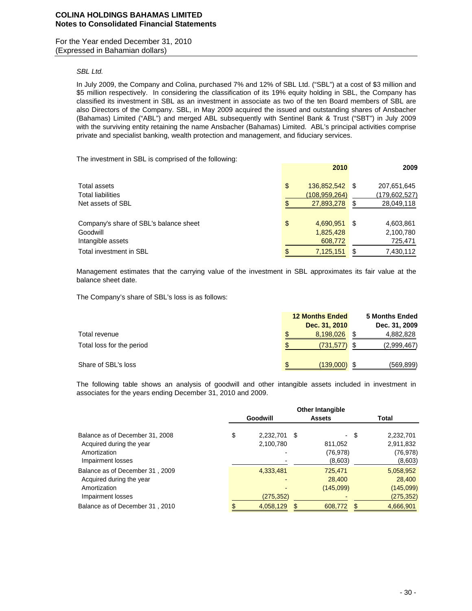# *SBL Ltd.*

In July 2009, the Company and Colina, purchased 7% and 12% of SBL Ltd. ("SBL") at a cost of \$3 million and \$5 million respectively. In considering the classification of its 19% equity holding in SBL, the Company has classified its investment in SBL as an investment in associate as two of the ten Board members of SBL are also Directors of the Company. SBL, in May 2009 acquired the issued and outstanding shares of Ansbacher (Bahamas) Limited ("ABL") and merged ABL subsequently with Sentinel Bank & Trust ("SBT") in July 2009 with the surviving entity retaining the name Ansbacher (Bahamas) Limited. ABL's principal activities comprise private and specialist banking, wealth protection and management, and fiduciary services.

The investment in SBL is comprised of the following:

|                                                    |    | 2010                           |     | 2009                           |
|----------------------------------------------------|----|--------------------------------|-----|--------------------------------|
| Total assets<br><b>Total liabilities</b>           | \$ | 136,852,542<br>(108, 959, 264) |     | 207,651,645<br>(179, 602, 527) |
| Net assets of SBL                                  | S  | 27,893,278                     |     | 28,049,118                     |
| Company's share of SBL's balance sheet<br>Goodwill | \$ | 4,690,951<br>1,825,428         | \$. | 4,603,861<br>2,100,780         |
| Intangible assets                                  |    | 608,772                        |     | 725,471                        |
| Total investment in SBL                            | \$ | 7,125,151                      |     | 7,430,112                      |

Management estimates that the carrying value of the investment in SBL approximates its fair value at the balance sheet date.

The Company's share of SBL's loss is as follows:

|                           |   | <b>12 Months Ended</b> |  | <b>5 Months Ended</b> |
|---------------------------|---|------------------------|--|-----------------------|
|                           |   | Dec. 31, 2010          |  | Dec. 31, 2009         |
| Total revenue             |   | 8,198,026              |  | 4,882,828             |
| Total loss for the period |   | (731, 577)             |  | (2,999,467)           |
| Share of SBL's loss       | S | $(139,000)$ \$         |  | (569, 899)            |

The following table shows an analysis of goodwill and other intangible assets included in investment in associates for the years ending December 31, 2010 and 2009.

|                                 | <b>Other Intangible</b>          |           |       |           |  |            |
|---------------------------------|----------------------------------|-----------|-------|-----------|--|------------|
|                                 | <b>Assets</b><br><b>Goodwill</b> |           | Total |           |  |            |
| Balance as of December 31, 2008 | \$                               | 2,232,701 | - \$  | - \$      |  | 2,232,701  |
| Acquired during the year        |                                  | 2,100,780 |       | 811,052   |  | 2,911,832  |
| Amortization                    |                                  |           |       | (76, 978) |  | (76,978)   |
| Impairment losses               |                                  |           |       | (8,603)   |  | (8,603)    |
| Balance as of December 31, 2009 |                                  | 4,333,481 |       | 725,471   |  | 5,058,952  |
| Acquired during the year        |                                  |           |       | 28,400    |  | 28,400     |
| Amortization                    |                                  |           |       | (145,099) |  | (145,099)  |
| Impairment losses               |                                  | (275,352) |       |           |  | (275, 352) |
| Balance as of December 31, 2010 |                                  | 4,058,129 |       | 608,772   |  | 4,666,901  |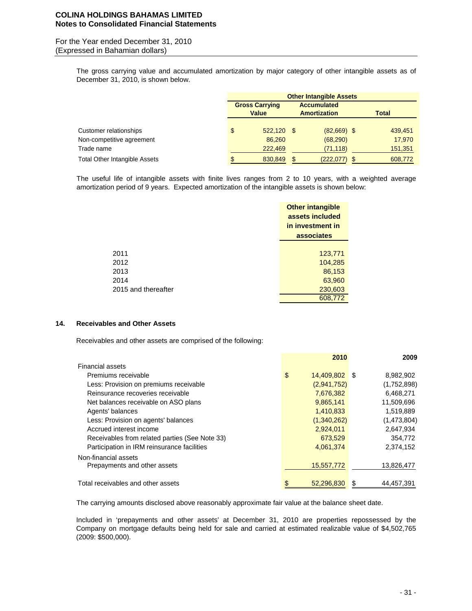For the Year ended December 31, 2010 (Expressed in Bahamian dollars)

> The gross carrying value and accumulated amortization by major category of other intangible assets as of December 31, 2010, is shown below.

|                                      | <b>Other Intangible Assets</b>                                                     |                       |              |  |
|--------------------------------------|------------------------------------------------------------------------------------|-----------------------|--------------|--|
|                                      | <b>Gross Carrying</b><br><b>Accumulated</b><br><b>Value</b><br><b>Amortization</b> |                       | <b>Total</b> |  |
|                                      |                                                                                    |                       |              |  |
| Customer relationships               | \$<br>522.120                                                                      | $(82,669)$ \$<br>- \$ | 439,451      |  |
| Non-competitive agreement            | 86,260                                                                             | (68, 290)             | 17,970       |  |
| Trade name                           | 222.469                                                                            | (71, 118)             | 151,351      |  |
| <b>Total Other Intangible Assets</b> | 830,849                                                                            | (222,077)             | 608,772      |  |

The useful life of intangible assets with finite lives ranges from 2 to 10 years, with a weighted average amortization period of 9 years. Expected amortization of the intangible assets is shown below:

|                     | <b>Other intangible</b> |
|---------------------|-------------------------|
|                     | assets included         |
|                     | in investment in        |
|                     | associates              |
|                     |                         |
| 2011                | 123,771                 |
| 2012                | 104,285                 |
| 2013                | 86,153                  |
| 2014                | 63,960                  |
| 2015 and thereafter | 230,603                 |
|                     | 608,772                 |

# **14. Receivables and Other Assets**

Receivables and other assets are comprised of the following:

|                                                | 2010                | 2009        |
|------------------------------------------------|---------------------|-------------|
| <b>Financial assets</b>                        |                     |             |
| Premiums receivable                            | \$<br>14,409,802 \$ | 8,982,902   |
| Less: Provision on premiums receivable         | (2,941,752)         | (1,752,898) |
| Reinsurance recoveries receivable              | 7,676,382           | 6,468,271   |
| Net balances receivable on ASO plans           | 9,865,141           | 11,509,696  |
| Agents' balances                               | 1,410,833           | 1,519,889   |
| Less: Provision on agents' balances            | (1,340,262)         | (1,473,804) |
| Accrued interest income                        | 2,924,011           | 2,647,934   |
| Receivables from related parties (See Note 33) | 673,529             | 354,772     |
| Participation in IRM reinsurance facilities    | 4,061,374           | 2,374,152   |
| Non-financial assets                           |                     |             |
| Prepayments and other assets                   | 15,557,772          | 13,826,477  |
|                                                |                     |             |
| Total receivables and other assets             | \$<br>52.296.830    | 44,457,391  |

The carrying amounts disclosed above reasonably approximate fair value at the balance sheet date.

Included in 'prepayments and other assets' at December 31, 2010 are properties repossessed by the Company on mortgage defaults being held for sale and carried at estimated realizable value of \$4,502,765 (2009: \$500,000).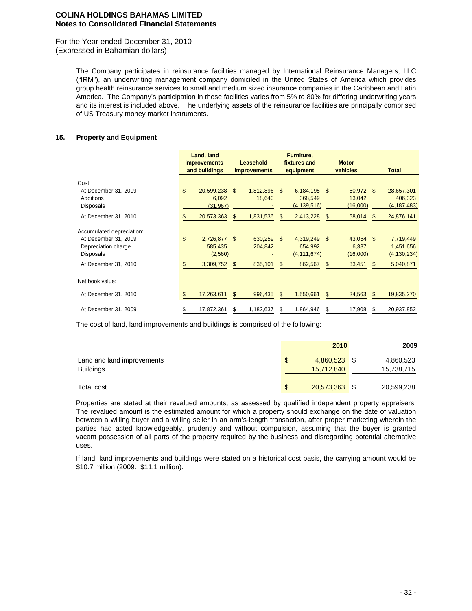For the Year ended December 31, 2010 (Expressed in Bahamian dollars)

> The Company participates in reinsurance facilities managed by International Reinsurance Managers, LLC ("IRM"), an underwriting management company domiciled in the United States of America which provides group health reinsurance services to small and medium sized insurance companies in the Caribbean and Latin America. The Company's participation in these facilities varies from 5% to 80% for differing underwriting years and its interest is included above. The underlying assets of the reinsurance facilities are principally comprised of US Treasury money market instruments.

# **15. Property and Equipment**

|                           | Land, land<br><i>improvements</i><br>and buildings | Leasehold<br><i>improvements</i> | Furniture,<br>fixtures and<br>equipment | <b>Motor</b><br>vehicles | <b>Total</b>           |
|---------------------------|----------------------------------------------------|----------------------------------|-----------------------------------------|--------------------------|------------------------|
| Cost:                     |                                                    |                                  |                                         |                          |                        |
| At December 31, 2009      | \$<br>20,599,238                                   | 1,812,896 \$<br>$\mathfrak{L}$   | 6,184,195 \$                            | 60,972 \$                | 28,657,301             |
| Additions                 | 6,092                                              | 18,640                           | 368,549                                 | 13,042                   | 406,323                |
| <b>Disposals</b>          | (31, 967)                                          |                                  | (4, 139, 516)                           | (16,000)                 | (4, 187, 483)          |
| At December 31, 2010      | 20,573,363                                         | 1,831,536<br>\$                  | 2,413,228<br>\$.                        | 58,014<br>\$             | 24,876,141<br><b>S</b> |
| Accumulated depreciation: |                                                    |                                  |                                         |                          |                        |
| At December 31, 2009      | \$<br>2,726,877                                    | -\$<br>630,259 \$                | 4,319,249 \$                            | 43,064 \$                | 7,719,449              |
| Depreciation charge       | 585,435                                            | 204,842                          | 654,992                                 | 6,387                    | 1,451,656              |
| <b>Disposals</b>          | (2,560)                                            |                                  | (4, 111, 674)                           | (16,000)                 | (4, 130, 234)          |
| At December 31, 2010      | 3,309,752<br>Я5                                    | \$<br>835,101                    | 862,567<br>\$.                          | 33,451<br>\$.            | 5,040,871<br>\$.       |
| Net book value:           |                                                    |                                  |                                         |                          |                        |
| At December 31, 2010      | 17,263,611<br>S.                                   | \$<br>996,435                    | 1,550,661<br>\$                         | 24,563<br>\$             | 19,835,270<br>\$.      |
| At December 31, 2009      | 17,872,361<br>\$                                   | 1,182,637<br>S                   | 1,864,946<br>\$.                        | 17,908<br>S              | 20,937,852<br>S        |

The cost of land, land improvements and buildings is comprised of the following:

|                                                |    | 2010                    |      | 2009                    |
|------------------------------------------------|----|-------------------------|------|-------------------------|
| Land and land improvements<br><b>Buildings</b> | \$ | 4,860,523<br>15,712,840 | - \$ | 4,860,523<br>15,738,715 |
| Total cost                                     | S  | 20,573,363              |      | 20,599,238              |

Properties are stated at their revalued amounts, as assessed by qualified independent property appraisers. The revalued amount is the estimated amount for which a property should exchange on the date of valuation between a willing buyer and a willing seller in an arm's-length transaction, after proper marketing wherein the parties had acted knowledgeably, prudently and without compulsion, assuming that the buyer is granted vacant possession of all parts of the property required by the business and disregarding potential alternative uses.

If land, land improvements and buildings were stated on a historical cost basis, the carrying amount would be \$10.7 million (2009: \$11.1 million).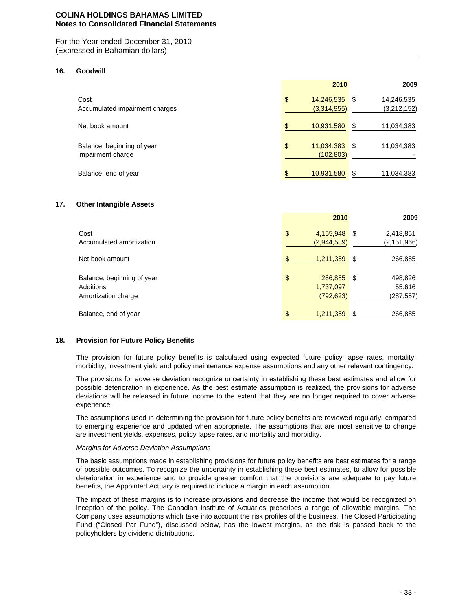For the Year ended December 31, 2010 (Expressed in Bahamian dollars)

# **16. Goodwill**

|                                                 | 2010                            | 2009                              |
|-------------------------------------------------|---------------------------------|-----------------------------------|
| Cost<br>Accumulated impairment charges          | \$<br>14,246,535<br>(3,314,955) | 14,246,535<br>- \$<br>(3,212,152) |
| Net book amount                                 | \$<br>10,931,580                | 11,034,383                        |
| Balance, beginning of year<br>Impairment charge | \$<br>11,034,383<br>(102, 803)  | 11,034,383<br>- \$                |
| Balance, end of year                            | \$<br>10,931,580                | 11,034,383                        |

# **17. Other Intangible Assets**

|                                                                | 2010                                     | 2009                                   |
|----------------------------------------------------------------|------------------------------------------|----------------------------------------|
| Cost<br>Accumulated amortization                               | \$<br>4,155,948<br>(2,944,589)           | 2,418,851<br>- \$<br>(2, 151, 966)     |
| Net book amount                                                | \$<br>1,211,359                          | 266,885<br>\$                          |
| Balance, beginning of year<br>Additions<br>Amortization charge | \$<br>266,885<br>1,737,097<br>(792, 623) | - \$<br>498,826<br>55,616<br>(287,557) |
| Balance, end of year                                           | \$<br>1,211,359                          | 266,885<br>- \$                        |

# **18. Provision for Future Policy Benefits**

The provision for future policy benefits is calculated using expected future policy lapse rates, mortality, morbidity, investment yield and policy maintenance expense assumptions and any other relevant contingency.

The provisions for adverse deviation recognize uncertainty in establishing these best estimates and allow for possible deterioration in experience. As the best estimate assumption is realized, the provisions for adverse deviations will be released in future income to the extent that they are no longer required to cover adverse experience.

The assumptions used in determining the provision for future policy benefits are reviewed regularly, compared to emerging experience and updated when appropriate. The assumptions that are most sensitive to change are investment yields, expenses, policy lapse rates, and mortality and morbidity.

# *Margins for Adverse Deviation Assumptions*

The basic assumptions made in establishing provisions for future policy benefits are best estimates for a range of possible outcomes. To recognize the uncertainty in establishing these best estimates, to allow for possible deterioration in experience and to provide greater comfort that the provisions are adequate to pay future benefits, the Appointed Actuary is required to include a margin in each assumption.

The impact of these margins is to increase provisions and decrease the income that would be recognized on inception of the policy. The Canadian Institute of Actuaries prescribes a range of allowable margins. The Company uses assumptions which take into account the risk profiles of the business. The Closed Participating Fund ("Closed Par Fund"), discussed below, has the lowest margins, as the risk is passed back to the policyholders by dividend distributions.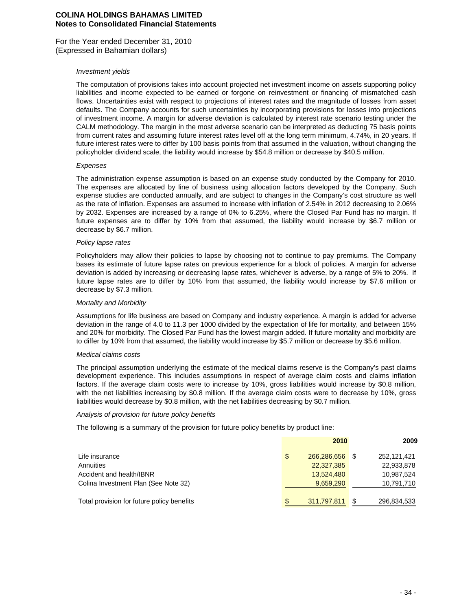For the Year ended December 31, 2010 (Expressed in Bahamian dollars)

# *Investment yields*

The computation of provisions takes into account projected net investment income on assets supporting policy liabilities and income expected to be earned or forgone on reinvestment or financing of mismatched cash flows. Uncertainties exist with respect to projections of interest rates and the magnitude of losses from asset defaults. The Company accounts for such uncertainties by incorporating provisions for losses into projections of investment income. A margin for adverse deviation is calculated by interest rate scenario testing under the CALM methodology. The margin in the most adverse scenario can be interpreted as deducting 75 basis points from current rates and assuming future interest rates level off at the long term minimum, 4.74%, in 20 years. If future interest rates were to differ by 100 basis points from that assumed in the valuation, without changing the policyholder dividend scale, the liability would increase by \$54.8 million or decrease by \$40.5 million.

#### *Expenses*

The administration expense assumption is based on an expense study conducted by the Company for 2010. The expenses are allocated by line of business using allocation factors developed by the Company. Such expense studies are conducted annually, and are subject to changes in the Company's cost structure as well as the rate of inflation. Expenses are assumed to increase with inflation of 2.54% in 2012 decreasing to 2.06% by 2032. Expenses are increased by a range of 0% to 6.25%, where the Closed Par Fund has no margin. If future expenses are to differ by 10% from that assumed, the liability would increase by \$6.7 million or decrease by \$6.7 million.

#### *Policy lapse rates*

Policyholders may allow their policies to lapse by choosing not to continue to pay premiums. The Company bases its estimate of future lapse rates on previous experience for a block of policies. A margin for adverse deviation is added by increasing or decreasing lapse rates, whichever is adverse, by a range of 5% to 20%. If future lapse rates are to differ by 10% from that assumed, the liability would increase by \$7.6 million or decrease by \$7.3 million.

#### *Mortality and Morbidity*

Assumptions for life business are based on Company and industry experience. A margin is added for adverse deviation in the range of 4.0 to 11.3 per 1000 divided by the expectation of life for mortality, and between 15% and 20% for morbidity. The Closed Par Fund has the lowest margin added. If future mortality and morbidity are to differ by 10% from that assumed, the liability would increase by \$5.7 million or decrease by \$5.6 million.

#### *Medical claims costs*

The principal assumption underlying the estimate of the medical claims reserve is the Company's past claims development experience. This includes assumptions in respect of average claim costs and claims inflation factors. If the average claim costs were to increase by 10%, gross liabilities would increase by \$0.8 million, with the net liabilities increasing by \$0.8 million. If the average claim costs were to decrease by 10%, gross liabilities would decrease by \$0.8 million, with the net liabilities decreasing by \$0.7 million.

#### *Analysis of provision for future policy benefits*

The following is a summary of the provision for future policy benefits by product line:

|                                            |    | 2010        | 2009        |
|--------------------------------------------|----|-------------|-------------|
| Life insurance                             | \$ | 266,286,656 | 252,121,421 |
| Annuities                                  |    | 22,327,385  | 22,933,878  |
| Accident and health/IBNR                   |    | 13,524,480  | 10,987,524  |
| Colina Investment Plan (See Note 32)       |    | 9,659,290   | 10,791,710  |
| Total provision for future policy benefits | S  | 311,797,811 | 296,834,533 |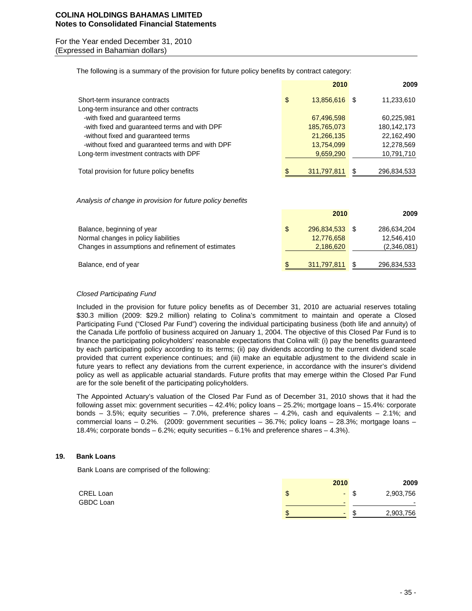For the Year ended December 31, 2010 (Expressed in Bahamian dollars)

The following is a summary of the provision for future policy benefits by contract category:

|                                                                           | 2010              |      | 2009          |
|---------------------------------------------------------------------------|-------------------|------|---------------|
| Short-term insurance contracts<br>Long-term insurance and other contracts | \$<br>13,856,616  | - 85 | 11,233,610    |
| -with fixed and guaranteed terms                                          | 67,496,598        |      | 60,225,981    |
| -with fixed and guaranteed terms and with DPF                             | 185,765,073       |      | 180, 142, 173 |
| -without fixed and guaranteed terms                                       | 21,266,135        |      | 22,162,490    |
| -without fixed and guaranteed terms and with DPF                          | 13,754,099        |      | 12,278,569    |
| Long-term investment contracts with DPF                                   | 9,659,290         |      | 10,791,710    |
| Total provision for future policy benefits                                | \$<br>311,797,811 |      | 296,834,533   |

*Analysis of change in provision for future policy benefits* 

|                                                    | 2010              | 2009        |
|----------------------------------------------------|-------------------|-------------|
| Balance, beginning of year                         | \$<br>296.834.533 | 286,634,204 |
| Normal changes in policy liabilities               | 12,776,658        | 12.546.410  |
| Changes in assumptions and refinement of estimates | 2,186,620         | (2,346,081) |
| Balance, end of year                               | 311,797,811       | 296,834,533 |

# *Closed Participating Fund*

Included in the provision for future policy benefits as of December 31, 2010 are actuarial reserves totaling \$30.3 million (2009: \$29.2 million) relating to Colina's commitment to maintain and operate a Closed Participating Fund ("Closed Par Fund") covering the individual participating business (both life and annuity) of the Canada Life portfolio of business acquired on January 1, 2004. The objective of this Closed Par Fund is to finance the participating policyholders' reasonable expectations that Colina will: (i) pay the benefits guaranteed by each participating policy according to its terms; (ii) pay dividends according to the current dividend scale provided that current experience continues; and (iii) make an equitable adjustment to the dividend scale in future years to reflect any deviations from the current experience, in accordance with the insurer's dividend policy as well as applicable actuarial standards. Future profits that may emerge within the Closed Par Fund are for the sole benefit of the participating policyholders.

The Appointed Actuary's valuation of the Closed Par Fund as of December 31, 2010 shows that it had the following asset mix: government securities – 42.4%; policy loans – 25.2%; mortgage loans – 15.4%: corporate bonds – 3.5%; equity securities – 7.0%, preference shares – 4.2%, cash and equivalents – 2.1%; and commercial loans – 0.2%. (2009: government securities – 36.7%; policy loans – 28.3%; mortgage loans – 18.4%; corporate bonds – 6.2%; equity securities – 6.1% and preference shares – 4.3%).

# **19. Bank Loans**

Bank Loans are comprised of the following:

|           |   | 2010           | 2009      |
|-----------|---|----------------|-----------|
| CREL Loan | æ | $\sim$         | 2,903,756 |
| GBDC Loan |   | -              |           |
|           | Ъ | $\overline{a}$ | 2,903,756 |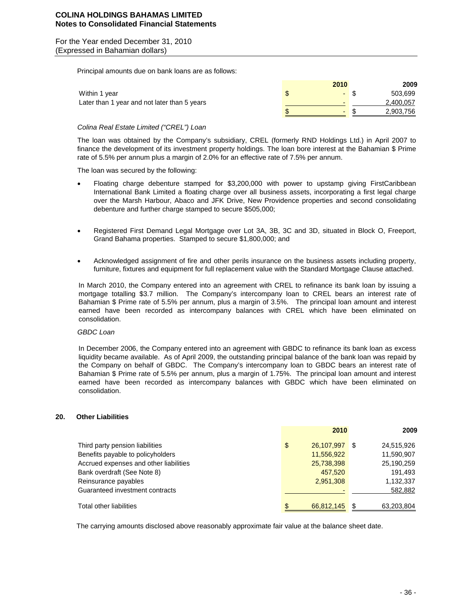For the Year ended December 31, 2010 (Expressed in Bahamian dollars)

Principal amounts due on bank loans are as follows:

|                                              | 2010           | 2009      |
|----------------------------------------------|----------------|-----------|
| Within 1 year                                | $\sim$         | 503.699   |
| Later than 1 year and not later than 5 years | -              | 2,400,057 |
|                                              | $\overline{a}$ | 2,903,756 |

# *Colina Real Estate Limited ("CREL") Loan*

The loan was obtained by the Company's subsidiary, CREL (formerly RND Holdings Ltd.) in April 2007 to finance the development of its investment property holdings. The loan bore interest at the Bahamian \$ Prime rate of 5.5% per annum plus a margin of 2.0% for an effective rate of 7.5% per annum.

The loan was secured by the following:

- Floating charge debenture stamped for \$3,200,000 with power to upstamp giving FirstCaribbean International Bank Limited a floating charge over all business assets, incorporating a first legal charge over the Marsh Harbour, Abaco and JFK Drive, New Providence properties and second consolidating debenture and further charge stamped to secure \$505,000;
- Registered First Demand Legal Mortgage over Lot 3A, 3B, 3C and 3D, situated in Block O, Freeport, Grand Bahama properties. Stamped to secure \$1,800,000; and
- Acknowledged assignment of fire and other perils insurance on the business assets including property, furniture, fixtures and equipment for full replacement value with the Standard Mortgage Clause attached.

In March 2010, the Company entered into an agreement with CREL to refinance its bank loan by issuing a mortgage totalling \$3.7 million. The Company's intercompany loan to CREL bears an interest rate of Bahamian \$ Prime rate of 5.5% per annum, plus a margin of 3.5%. The principal loan amount and interest earned have been recorded as intercompany balances with CREL which have been eliminated on consolidation.

# *GBDC Loan*

In December 2006, the Company entered into an agreement with GBDC to refinance its bank loan as excess liquidity became available. As of April 2009, the outstanding principal balance of the bank loan was repaid by the Company on behalf of GBDC. The Company's intercompany loan to GBDC bears an interest rate of Bahamian \$ Prime rate of 5.5% per annum, plus a margin of 1.75%. The principal loan amount and interest earned have been recorded as intercompany balances with GBDC which have been eliminated on consolidation.

# **20. Other Liabilities**

|                                        | 2010             | 2009               |
|----------------------------------------|------------------|--------------------|
| Third party pension liabilities        | \$<br>26,107,997 | 24,515,926<br>- \$ |
| Benefits payable to policyholders      | 11,556,922       | 11,590,907         |
| Accrued expenses and other liabilities | 25,738,398       | 25,190,259         |
| Bank overdraft (See Note 8)            | 457,520          | 191.493            |
| Reinsurance payables                   | 2,951,308        | 1,132,337          |
| Guaranteed investment contracts        |                  | 582,882            |
| Total other liabilities                | \$<br>66.812.145 | 63,203,804         |

The carrying amounts disclosed above reasonably approximate fair value at the balance sheet date.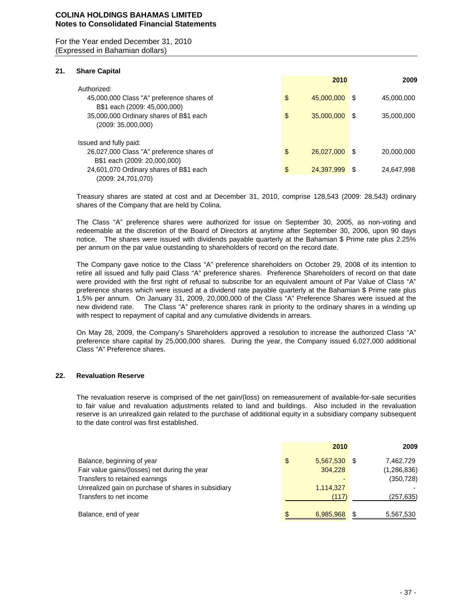For the Year ended December 31, 2010 (Expressed in Bahamian dollars)

# **21. Share Capital**

|                                           | 2010                |     | 2009       |
|-------------------------------------------|---------------------|-----|------------|
| Authorized:                               |                     |     |            |
| 45,000,000 Class "A" preference shares of | \$<br>45,000,000    |     | 45,000,000 |
| B\$1 each (2009: 45,000,000)              |                     |     |            |
| 35,000,000 Ordinary shares of B\$1 each   | \$<br>35,000,000    |     | 35,000,000 |
| (2009:35,000,000)                         |                     |     |            |
| Issued and fully paid:                    |                     |     |            |
| 26,027,000 Class "A" preference shares of | \$<br>26,027,000    | ∣\$ | 20,000,000 |
| B\$1 each (2009: 20,000,000)              |                     |     |            |
| 24,601,070 Ordinary shares of B\$1 each   | \$<br>24,397,999 \$ |     | 24,647,998 |
| (2009: 24,701,070)                        |                     |     |            |

Treasury shares are stated at cost and at December 31, 2010, comprise 128,543 (2009: 28,543) ordinary shares of the Company that are held by Colina.

The Class "A" preference shares were authorized for issue on September 30, 2005, as non-voting and redeemable at the discretion of the Board of Directors at anytime after September 30, 2006, upon 90 days notice. The shares were issued with dividends payable quarterly at the Bahamian \$ Prime rate plus 2.25% per annum on the par value outstanding to shareholders of record on the record date.

The Company gave notice to the Class "A" preference shareholders on October 29, 2008 of its intention to retire all issued and fully paid Class "A" preference shares. Preference Shareholders of record on that date were provided with the first right of refusal to subscribe for an equivalent amount of Par Value of Class "A" preference shares which were issued at a dividend rate payable quarterly at the Bahamian \$ Prime rate plus 1.5% per annum. On January 31, 2009, 20,000,000 of the Class "A" Preference Shares were issued at the new dividend rate. The Class "A" preference shares rank in priority to the ordinary shares in a winding up with respect to repayment of capital and any cumulative dividends in arrears.

On May 28, 2009, the Company's Shareholders approved a resolution to increase the authorized Class "A" preference share capital by 25,000,000 shares. During the year, the Company issued 6,027,000 additional Class "A" Preference shares.

# **22. Revaluation Reserve**

The revaluation reserve is comprised of the net gain/(loss) on remeasurement of available-for-sale securities to fair value and revaluation adjustments related to land and buildings. Also included in the revaluation reserve is an unrealized gain related to the purchase of additional equity in a subsidiary company subsequent to the date control was first established.

|                                                     | 2010               | 2009          |
|-----------------------------------------------------|--------------------|---------------|
| Balance, beginning of year                          | 5,567,530 \$<br>\$ | 7,462,729     |
| Fair value gains/(losses) net during the year       | 304,228            | (1, 286, 836) |
| Transfers to retained earnings                      |                    | (350, 728)    |
| Unrealized gain on purchase of shares in subsidiary | 1,114,327          |               |
| Transfers to net income                             | (117)              | (257, 635)    |
| Balance, end of year                                | S.<br>6,985,968    | 5,567,530     |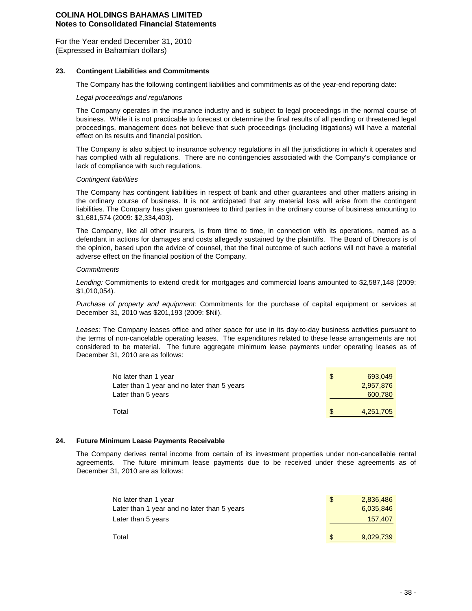For the Year ended December 31, 2010 (Expressed in Bahamian dollars)

# **23. Contingent Liabilities and Commitments**

The Company has the following contingent liabilities and commitments as of the year-end reporting date:

#### *Legal proceedings and regulations*

The Company operates in the insurance industry and is subject to legal proceedings in the normal course of business. While it is not practicable to forecast or determine the final results of all pending or threatened legal proceedings, management does not believe that such proceedings (including litigations) will have a material effect on its results and financial position.

The Company is also subject to insurance solvency regulations in all the jurisdictions in which it operates and has complied with all regulations. There are no contingencies associated with the Company's compliance or lack of compliance with such regulations.

#### *Contingent liabilities*

The Company has contingent liabilities in respect of bank and other guarantees and other matters arising in the ordinary course of business. It is not anticipated that any material loss will arise from the contingent liabilities. The Company has given guarantees to third parties in the ordinary course of business amounting to \$1,681,574 (2009: \$2,334,403).

The Company, like all other insurers, is from time to time, in connection with its operations, named as a defendant in actions for damages and costs allegedly sustained by the plaintiffs. The Board of Directors is of the opinion, based upon the advice of counsel, that the final outcome of such actions will not have a material adverse effect on the financial position of the Company.

# *Commitments*

*Lending:* Commitments to extend credit for mortgages and commercial loans amounted to \$2,587,148 (2009: \$1,010,054).

*Purchase of property and equipment:* Commitments for the purchase of capital equipment or services at December 31, 2010 was \$201,193 (2009: \$Nil).

*Leases:* The Company leases office and other space for use in its day-to-day business activities pursuant to the terms of non-cancelable operating leases. The expenditures related to these lease arrangements are not considered to be material. The future aggregate minimum lease payments under operating leases as of December 31, 2010 are as follows:

| No later than 1 year<br>Later than 1 year and no later than 5 years<br>Later than 5 years | <sup>\$</sup> | 693.049<br>2,957,876<br>600,780 |
|-------------------------------------------------------------------------------------------|---------------|---------------------------------|
| Total                                                                                     |               | 4.251.705                       |

# **24. Future Minimum Lease Payments Receivable**

The Company derives rental income from certain of its investment properties under non-cancellable rental agreements. The future minimum lease payments due to be received under these agreements as of December 31, 2010 are as follows:

| No later than 1 year<br>Later than 1 year and no later than 5 years | \$. | 2,836,486<br>6.035.846 |
|---------------------------------------------------------------------|-----|------------------------|
| Later than 5 years                                                  |     | 157.407                |
| Total                                                               | \$. | 9,029,739              |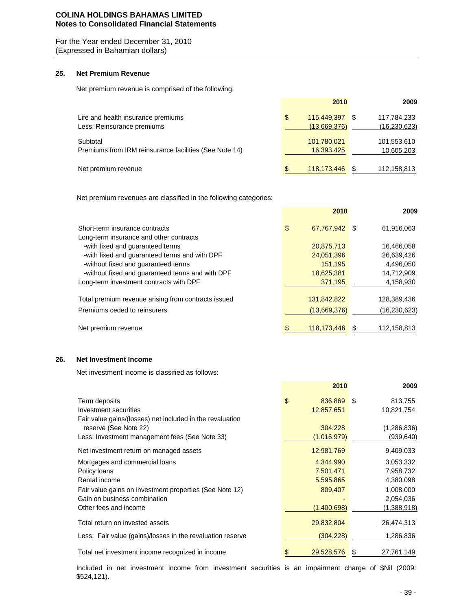For the Year ended December 31, 2010 (Expressed in Bahamian dollars)

# **25. Net Premium Revenue**

Net premium revenue is comprised of the following:

|                                                                    | 2010                              | 2009                        |
|--------------------------------------------------------------------|-----------------------------------|-----------------------------|
| Life and health insurance premiums<br>Less: Reinsurance premiums   | 115.449.397<br>\$<br>(13,669,376) | 117,784,233<br>(16,230,623) |
| Subtotal<br>Premiums from IRM reinsurance facilities (See Note 14) | 101,780,021<br>16,393,425         | 101,553,610<br>10,605,203   |
| Net premium revenue                                                | 118,173,446<br>\$                 | 112,158,813                 |

Net premium revenues are classified in the following categories:

|                                                     | 2010                | 2009           |
|-----------------------------------------------------|---------------------|----------------|
| Short-term insurance contracts                      | \$<br>67,767,942 \$ | 61,916,063     |
| Long-term insurance and other contracts             |                     |                |
| -with fixed and guaranteed terms                    | 20,875,713          | 16,466,058     |
| -with fixed and guaranteed terms and with DPF       | 24,051,396          | 26,639,426     |
| -without fixed and guaranteed terms                 | 151,195             | 4,496,050      |
| -without fixed and guaranteed terms and with DPF    | 18,625,381          | 14,712,909     |
| Long-term investment contracts with DPF             | 371,195             | 4,158,930      |
| Total premium revenue arising from contracts issued | 131,842,822         | 128,389,436    |
| Premiums ceded to reinsurers                        | (13,669,376)        | (16, 230, 623) |
| Net premium revenue                                 | \$<br>118,173,446   | 112,158,813    |

# **26. Net Investment Income**

Net investment income is classified as follows:

|                                                            | 2010             | 2009             |
|------------------------------------------------------------|------------------|------------------|
| Term deposits                                              | \$<br>836,869 \$ | 813,755          |
| Investment securities                                      | 12,857,651       | 10,821,754       |
| Fair value gains/(losses) net included in the revaluation  |                  |                  |
| reserve (See Note 22)                                      | 304,228          | (1,286,836)      |
| Less: Investment management fees (See Note 33)             | (1,016,979)      | <u>(939,640)</u> |
| Net investment return on managed assets                    | 12,981,769       | 9,409,033        |
| Mortgages and commercial loans                             | 4,344,990        | 3,053,332        |
| Policy loans                                               | 7,501,471        | 7,958,732        |
| Rental income                                              | 5,595,865        | 4,380,098        |
| Fair value gains on investment properties (See Note 12)    | 809,407          | 1,008,000        |
| Gain on business combination                               |                  | 2,054,036        |
| Other fees and income                                      | (1,400,698)      | (1,388,918)      |
| Total return on invested assets                            | 29,832,804       | 26,474,313       |
| Less: Fair value (gains)/losses in the revaluation reserve | (304, 228)       | 1,286,836        |
| Total net investment income recognized in income           | 29,528,576<br>\$ | 27,761,149       |

Included in net investment income from investment securities is an impairment charge of \$Nil (2009: \$524,121).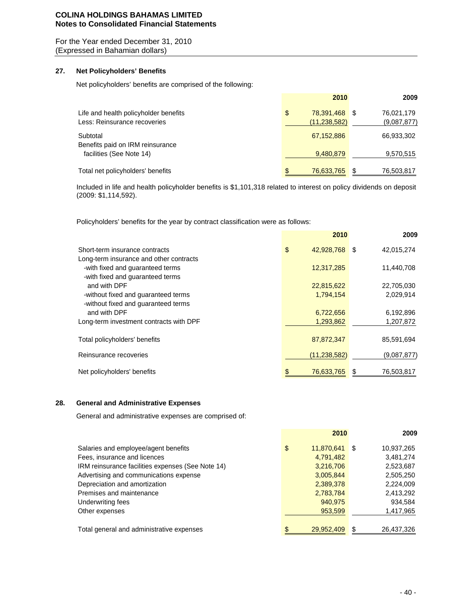For the Year ended December 31, 2010 (Expressed in Bahamian dollars)

# **27. Net Policyholders' Benefits**

Net policyholders' benefits are comprised of the following:

|                                                                       | 2010                               | 2009                             |
|-----------------------------------------------------------------------|------------------------------------|----------------------------------|
| Life and health policyholder benefits<br>Less: Reinsurance recoveries | \$<br>78,391,468<br>(11, 238, 582) | 76,021,179<br>- S<br>(9,087,877) |
| Subtotal<br>Benefits paid on IRM reinsurance                          | 67,152,886                         | 66,933,302                       |
| facilities (See Note 14)                                              | 9,480,879                          | 9,570,515                        |
| Total net policyholders' benefits                                     | 76,633,765                         | 76,503,817                       |

Included in life and health policyholder benefits is \$1,101,318 related to interest on policy dividends on deposit (2009: \$1,114,592).

Policyholders' benefits for the year by contract classification were as follows:

|                                                                                                                 | 2010             | 2009              |
|-----------------------------------------------------------------------------------------------------------------|------------------|-------------------|
| Short-term insurance contracts                                                                                  | \$<br>42,928,768 | 42,015,274<br>l S |
| Long-term insurance and other contracts<br>-with fixed and guaranteed terms<br>-with fixed and guaranteed terms | 12,317,285       | 11,440,708        |
| and with DPF                                                                                                    | 22,815,622       | 22,705,030        |
| -without fixed and guaranteed terms<br>-without fixed and guaranteed terms                                      | 1,794,154        | 2,029,914         |
| and with DPF                                                                                                    | 6,722,656        | 6,192,896         |
| Long-term investment contracts with DPF                                                                         | 1,293,862        | 1,207,872         |
| Total policyholders' benefits                                                                                   | 87,872,347       | 85,591,694        |
| Reinsurance recoveries                                                                                          | (11, 238, 582)   | (9,087,877)       |
| Net policyholders' benefits                                                                                     | 76,633,765       | 76,503,817        |

# **28. General and Administrative Expenses**

General and administrative expenses are comprised of:

|                                                   | 2010             | 2009              |
|---------------------------------------------------|------------------|-------------------|
| Salaries and employee/agent benefits              | \$<br>11,870,641 | 10,937,265<br>\$. |
| Fees, insurance and licences                      | 4,791,482        | 3,481,274         |
| IRM reinsurance facilities expenses (See Note 14) | 3,216,706        | 2,523,687         |
| Advertising and communications expense            | 3,005,844        | 2,505,250         |
| Depreciation and amortization                     | 2,389,378        | 2,224,009         |
| Premises and maintenance                          | 2,783,784        | 2,413,292         |
| Underwriting fees                                 | 940,975          | 934,584           |
| Other expenses                                    | 953,599          | 1,417,965         |
|                                                   |                  |                   |
| Total general and administrative expenses         | \$<br>29,952,409 | 26,437,326        |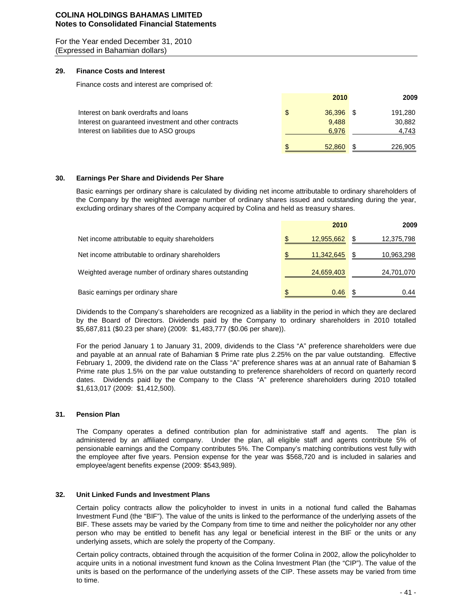For the Year ended December 31, 2010 (Expressed in Bahamian dollars)

# **29. Finance Costs and Interest**

Finance costs and interest are comprised of:

|                                                       | 2010            | 2009    |
|-------------------------------------------------------|-----------------|---------|
| Interest on bank overdrafts and loans                 | \$<br>36.396 \$ | 191,280 |
| Interest on quaranteed investment and other contracts | 9.488           | 30.882  |
| Interest on liabilities due to ASO groups             | 6.976           | 4,743   |
|                                                       | \$<br>52,860    | 226,905 |

# **30. Earnings Per Share and Dividends Per Share**

Basic earnings per ordinary share is calculated by dividing net income attributable to ordinary shareholders of the Company by the weighted average number of ordinary shares issued and outstanding during the year, excluding ordinary shares of the Company acquired by Colina and held as treasury shares.

|                                                        | 2010             | 2009       |
|--------------------------------------------------------|------------------|------------|
| Net income attributable to equity shareholders         | 12,955,662       | 12,375,798 |
| Net income attributable to ordinary shareholders       | 11,342,645<br>\$ | 10,963,298 |
| Weighted average number of ordinary shares outstanding | 24,659,403       | 24,701,070 |
| Basic earnings per ordinary share                      | 0.46             | 0.44       |

Dividends to the Company's shareholders are recognized as a liability in the period in which they are declared by the Board of Directors. Dividends paid by the Company to ordinary shareholders in 2010 totalled \$5,687,811 (\$0.23 per share) (2009: \$1,483,777 (\$0.06 per share)).

For the period January 1 to January 31, 2009, dividends to the Class "A" preference shareholders were due and payable at an annual rate of Bahamian \$ Prime rate plus 2.25% on the par value outstanding. Effective February 1, 2009, the dividend rate on the Class "A" preference shares was at an annual rate of Bahamian \$ Prime rate plus 1.5% on the par value outstanding to preference shareholders of record on quarterly record dates. Dividends paid by the Company to the Class "A" preference shareholders during 2010 totalled \$1,613,017 (2009: \$1,412,500).

# **31. Pension Plan**

The Company operates a defined contribution plan for administrative staff and agents. The plan is administered by an affiliated company. Under the plan, all eligible staff and agents contribute 5% of pensionable earnings and the Company contributes 5%. The Company's matching contributions vest fully with the employee after five years. Pension expense for the year was \$568,720 and is included in salaries and employee/agent benefits expense (2009: \$543,989).

# **32. Unit Linked Funds and Investment Plans**

Certain policy contracts allow the policyholder to invest in units in a notional fund called the Bahamas Investment Fund (the "BIF"). The value of the units is linked to the performance of the underlying assets of the BIF. These assets may be varied by the Company from time to time and neither the policyholder nor any other person who may be entitled to benefit has any legal or beneficial interest in the BIF or the units or any underlying assets, which are solely the property of the Company.

 Certain policy contracts, obtained through the acquisition of the former Colina in 2002, allow the policyholder to acquire units in a notional investment fund known as the Colina Investment Plan (the "CIP"). The value of the units is based on the performance of the underlying assets of the CIP. These assets may be varied from time to time.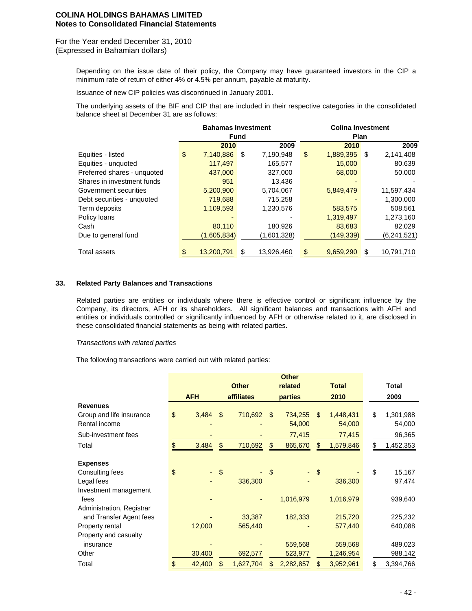For the Year ended December 31, 2010 (Expressed in Bahamian dollars)

> Depending on the issue date of their policy, the Company may have guaranteed investors in the CIP a minimum rate of return of either 4% or 4.5% per annum, payable at maturity.

Issuance of new CIP policies was discontinued in January 2001.

The underlying assets of the BIF and CIP that are included in their respective categories in the consolidated balance sheet at December 31 are as follows:

|                             | <b>Bahamas Investment</b> |                  | <b>Colina Investment</b> |      |               |  |  |  |  |
|-----------------------------|---------------------------|------------------|--------------------------|------|---------------|--|--|--|--|
|                             | <b>Fund</b>               |                  | <b>Plan</b>              |      |               |  |  |  |  |
|                             | 2010                      | 2009             | 2010                     |      | 2009          |  |  |  |  |
| Equities - listed           | \$<br>7,140,886           | -\$<br>7,190,948 | \$<br>1,889,395          | - \$ | 2,141,408     |  |  |  |  |
| Equities - unquoted         | 117,497                   | 165,577          | 15,000                   |      | 80,639        |  |  |  |  |
| Preferred shares - unquoted | 437,000                   | 327,000          | 68,000                   |      | 50,000        |  |  |  |  |
| Shares in investment funds  | 951                       | 13.436           |                          |      |               |  |  |  |  |
| Government securities       | 5,200,900                 | 5,704,067        | 5,849,479                |      | 11,597,434    |  |  |  |  |
| Debt securities - unquoted  | 719,688                   | 715,258          |                          |      | 1,300,000     |  |  |  |  |
| Term deposits               | 1,109,593                 | 1,230,576        | 583,575                  |      | 508,561       |  |  |  |  |
| Policy loans                |                           |                  | 1,319,497                |      | 1,273,160     |  |  |  |  |
| Cash                        | 80,110                    | 180,926          | 83,683                   |      | 82.029        |  |  |  |  |
| Due to general fund         | (1,605,834)               | (1,601,328)      | (149, 339)               |      | (6, 241, 521) |  |  |  |  |
| <b>Total assets</b>         | 13,200,791                | \$<br>13,926,460 | \$<br>9,659,290          |      | 10,791,710    |  |  |  |  |

# **33. Related Party Balances and Transactions**

Related parties are entities or individuals where there is effective control or significant influence by the Company, its directors, AFH or its shareholders. All significant balances and transactions with AFH and entities or individuals controlled or significantly influenced by AFH or otherwise related to it, are disclosed in these consolidated financial statements as being with related parties.

# *Transactions with related parties*

The following transactions were carried out with related parties:

|                           |              |                         | <b>Other</b>      |                           | related   |               | <b>Total</b> |    | <b>Total</b> |
|---------------------------|--------------|-------------------------|-------------------|---------------------------|-----------|---------------|--------------|----|--------------|
|                           | <b>AFH</b>   |                         | <b>affiliates</b> |                           | parties   |               | 2010         |    | 2009         |
| <b>Revenues</b>           |              |                         |                   |                           |           |               |              |    |              |
| Group and life insurance  | \$<br>3,484  | \$                      | 710,692           | -\$                       | 734,255   | \$.           | 1,448,431    | \$ | 1,301,988    |
| Rental income             |              |                         |                   |                           | 54,000    |               | 54,000       |    | 54,000       |
| Sub-investment fees       |              |                         |                   |                           | 77,415    |               | 77,415       |    | 96,365       |
| Total                     | \$<br>3,484  | \$                      | 710,692           | \$                        | 865,670   |               | 1,579,846    | S  | 1,452,353    |
| <b>Expenses</b>           |              |                         |                   |                           |           |               |              |    |              |
| Consulting fees           | \$<br>$\sim$ | $\sqrt[6]{\frac{1}{2}}$ |                   | $\boldsymbol{\mathsf{S}}$ |           | $\frac{1}{2}$ |              | \$ | 15,167       |
| Legal fees                |              |                         | 336,300           |                           |           |               | 336,300      |    | 97,474       |
| Investment management     |              |                         |                   |                           |           |               |              |    |              |
| fees                      |              |                         |                   |                           | 1,016,979 |               | 1,016,979    |    | 939,640      |
| Administration, Registrar |              |                         |                   |                           |           |               |              |    |              |
| and Transfer Agent fees   |              |                         | 33,387            |                           | 182,333   |               | 215,720      |    | 225,232      |
| Property rental           | 12,000       |                         | 565,440           |                           |           |               | 577,440      |    | 640,088      |
| Property and casualty     |              |                         |                   |                           |           |               |              |    |              |
| insurance                 |              |                         |                   |                           | 559,568   |               | 559,568      |    | 489,023      |
| Other                     | 30,400       |                         | 692,577           |                           | 523,977   |               | 1,246,954    |    | 988,142      |
| Total                     | 42,400       | \$                      | 1,627,704         | S                         | 2,282,857 | \$.           | 3,952,961    | \$ | 3,394,766    |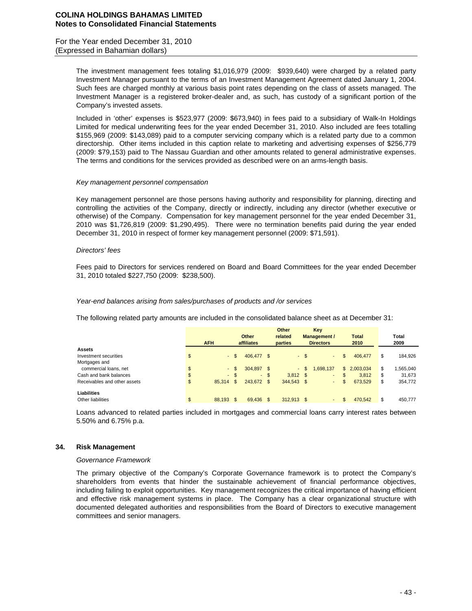> The investment management fees totaling \$1,016,979 (2009: \$939,640) were charged by a related party Investment Manager pursuant to the terms of an Investment Management Agreement dated January 1, 2004. Such fees are charged monthly at various basis point rates depending on the class of assets managed. The Investment Manager is a registered broker-dealer and, as such, has custody of a significant portion of the Company's invested assets.

> Included in 'other' expenses is \$523,977 (2009: \$673,940) in fees paid to a subsidiary of Walk-In Holdings Limited for medical underwriting fees for the year ended December 31, 2010. Also included are fees totalling \$155,969 (2009: \$143,089) paid to a computer servicing company which is a related party due to a common directorship. Other items included in this caption relate to marketing and advertising expenses of \$256,779 (2009: \$79,153) paid to The Nassau Guardian and other amounts related to general administrative expenses. The terms and conditions for the services provided as described were on an arms-length basis.

#### *Key management personnel compensation*

Key management personnel are those persons having authority and responsibility for planning, directing and controlling the activities of the Company, directly or indirectly, including any director (whether executive or otherwise) of the Company. Compensation for key management personnel for the year ended December 31, 2010 was \$1,726,819 (2009: \$1,290,495). There were no termination benefits paid during the year ended December 31, 2010 in respect of former key management personnel (2009: \$71,591).

# *Directors' fees*

Fees paid to Directors for services rendered on Board and Board Committees for the year ended December 31, 2010 totaled \$227,750 (2009: \$238,500).

#### *Year-end balances arising from sales/purchases of products and /or services*

The following related party amounts are included in the consolidated balance sheet as at December 31:

|                              | <b>AFH</b>      |        | Other<br>affiliates |          | Other<br>related<br>parties |        | Key<br><b>Management /</b><br><b>Directors</b> |     | Total<br>2010 |    | <b>Total</b><br>2009 |
|------------------------------|-----------------|--------|---------------------|----------|-----------------------------|--------|------------------------------------------------|-----|---------------|----|----------------------|
| <b>Assets</b>                |                 |        |                     |          |                             |        |                                                |     |               |    |                      |
| Investment securities        | \$              | $-$ \$ | 406.477 \$          |          |                             | $-$ \$ | $\sim$                                         | \$  | 406.477       | S  | 184,926              |
| Mortgages and                |                 |        |                     |          |                             |        |                                                |     |               |    |                      |
| commercial loans, net        | \$<br>н.        | \$.    | 304.897 \$          |          |                             | $-$ \$ | .698,137                                       |     | \$2.003.034   | S  | .565,040             |
| Cash and bank balances       | \$              | - \$   |                     | - \$     | $3.812$ \$                  |        | $\overline{\phantom{a}}$                       | \$  | 3.812         | S  | 31,673               |
| Receivables and other assets | \$<br>85.314    | -S     | 243.672 \$          |          | 344,543 \$                  |        | ۰.                                             | \$  | 673,529       | \$ | 354,772              |
| Liabilities                  |                 |        |                     |          |                             |        |                                                |     |               |    |                      |
| Other liabilities            | \$<br>88,193 \$ |        | 69,436              | <b>S</b> | 312,913 \$                  |        | ۰.                                             | \$. | 470.542       | S  | 450,777              |

Loans advanced to related parties included in mortgages and commercial loans carry interest rates between 5.50% and 6.75% p.a.

#### **34. Risk Management**

#### *Governance Framework*

The primary objective of the Company's Corporate Governance framework is to protect the Company's shareholders from events that hinder the sustainable achievement of financial performance objectives, including failing to exploit opportunities. Key management recognizes the critical importance of having efficient and effective risk management systems in place. The Company has a clear organizational structure with documented delegated authorities and responsibilities from the Board of Directors to executive management committees and senior managers.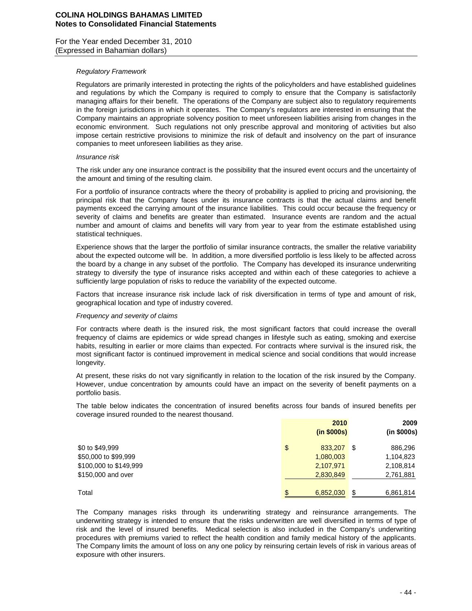# *Regulatory Framework*

Regulators are primarily interested in protecting the rights of the policyholders and have established guidelines and regulations by which the Company is required to comply to ensure that the Company is satisfactorily managing affairs for their benefit. The operations of the Company are subject also to regulatory requirements in the foreign jurisdictions in which it operates. The Company's regulators are interested in ensuring that the Company maintains an appropriate solvency position to meet unforeseen liabilities arising from changes in the economic environment. Such regulations not only prescribe approval and monitoring of activities but also impose certain restrictive provisions to minimize the risk of default and insolvency on the part of insurance companies to meet unforeseen liabilities as they arise.

#### *Insurance risk*

The risk under any one insurance contract is the possibility that the insured event occurs and the uncertainty of the amount and timing of the resulting claim.

For a portfolio of insurance contracts where the theory of probability is applied to pricing and provisioning, the principal risk that the Company faces under its insurance contracts is that the actual claims and benefit payments exceed the carrying amount of the insurance liabilities. This could occur because the frequency or severity of claims and benefits are greater than estimated. Insurance events are random and the actual number and amount of claims and benefits will vary from year to year from the estimate established using statistical techniques.

Experience shows that the larger the portfolio of similar insurance contracts, the smaller the relative variability about the expected outcome will be. In addition, a more diversified portfolio is less likely to be affected across the board by a change in any subset of the portfolio. The Company has developed its insurance underwriting strategy to diversify the type of insurance risks accepted and within each of these categories to achieve a sufficiently large population of risks to reduce the variability of the expected outcome.

Factors that increase insurance risk include lack of risk diversification in terms of type and amount of risk, geographical location and type of industry covered.

# *Frequency and severity of claims*

For contracts where death is the insured risk, the most significant factors that could increase the overall frequency of claims are epidemics or wide spread changes in lifestyle such as eating, smoking and exercise habits, resulting in earlier or more claims than expected. For contracts where survival is the insured risk, the most significant factor is continued improvement in medical science and social conditions that would increase longevity.

At present, these risks do not vary significantly in relation to the location of the risk insured by the Company. However, undue concentration by amounts could have an impact on the severity of benefit payments on a portfolio basis.

The table below indicates the concentration of insured benefits across four bands of insured benefits per coverage insured rounded to the nearest thousand.

|                        | 2010<br>(in \$000s) |   | 2009<br>(in \$000s) |
|------------------------|---------------------|---|---------------------|
| \$0 to \$49,999        | \$<br>833,207       | S | 886,296             |
| \$50,000 to \$99,999   | 1,080,003           |   | 1,104,823           |
| \$100,000 to \$149,999 | 2,107,971           |   | 2,108,814           |
| \$150,000 and over     | 2,830,849           |   | 2,761,881           |
| Total                  | \$<br>6,852,030     |   | 6,861,814           |

The Company manages risks through its underwriting strategy and reinsurance arrangements. The underwriting strategy is intended to ensure that the risks underwritten are well diversified in terms of type of risk and the level of insured benefits. Medical selection is also included in the Company's underwriting procedures with premiums varied to reflect the health condition and family medical history of the applicants. The Company limits the amount of loss on any one policy by reinsuring certain levels of risk in various areas of exposure with other insurers.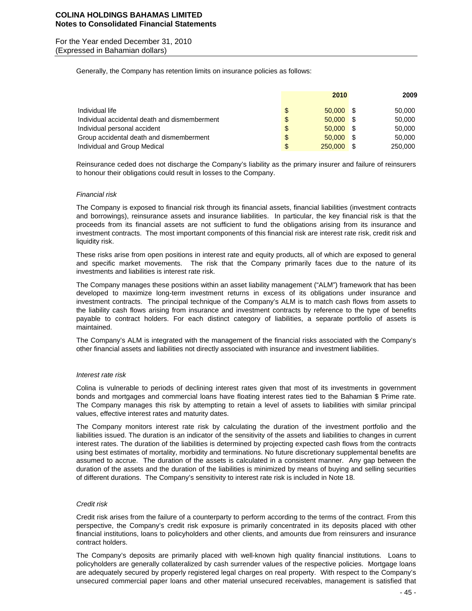For the Year ended December 31, 2010 (Expressed in Bahamian dollars)

Generally, the Company has retention limits on insurance policies as follows:

|                                               | 2010              | 2009    |
|-----------------------------------------------|-------------------|---------|
| Individual life                               | \$<br>$50.000$ \$ | 50.000  |
| Individual accidental death and dismemberment | \$<br>$50.000$ \$ | 50.000  |
| Individual personal accident                  | \$<br>$50,000$ \$ | 50.000  |
| Group accidental death and dismemberment      | \$<br>50,000      | 50.000  |
| Individual and Group Medical                  | \$<br>250,000     | 250,000 |

Reinsurance ceded does not discharge the Company's liability as the primary insurer and failure of reinsurers to honour their obligations could result in losses to the Company.

# *Financial risk*

The Company is exposed to financial risk through its financial assets, financial liabilities (investment contracts and borrowings), reinsurance assets and insurance liabilities. In particular, the key financial risk is that the proceeds from its financial assets are not sufficient to fund the obligations arising from its insurance and investment contracts. The most important components of this financial risk are interest rate risk, credit risk and liquidity risk.

These risks arise from open positions in interest rate and equity products, all of which are exposed to general and specific market movements. The risk that the Company primarily faces due to the nature of its investments and liabilities is interest rate risk.

The Company manages these positions within an asset liability management ("ALM") framework that has been developed to maximize long-term investment returns in excess of its obligations under insurance and investment contracts. The principal technique of the Company's ALM is to match cash flows from assets to the liability cash flows arising from insurance and investment contracts by reference to the type of benefits payable to contract holders. For each distinct category of liabilities, a separate portfolio of assets is maintained.

The Company's ALM is integrated with the management of the financial risks associated with the Company's other financial assets and liabilities not directly associated with insurance and investment liabilities.

# *Interest rate risk*

Colina is vulnerable to periods of declining interest rates given that most of its investments in government bonds and mortgages and commercial loans have floating interest rates tied to the Bahamian \$ Prime rate. The Company manages this risk by attempting to retain a level of assets to liabilities with similar principal values, effective interest rates and maturity dates.

The Company monitors interest rate risk by calculating the duration of the investment portfolio and the liabilities issued. The duration is an indicator of the sensitivity of the assets and liabilities to changes in current interest rates. The duration of the liabilities is determined by projecting expected cash flows from the contracts using best estimates of mortality, morbidity and terminations. No future discretionary supplemental benefits are assumed to accrue. The duration of the assets is calculated in a consistent manner. Any gap between the duration of the assets and the duration of the liabilities is minimized by means of buying and selling securities of different durations. The Company's sensitivity to interest rate risk is included in Note 18.

# *Credit risk*

Credit risk arises from the failure of a counterparty to perform according to the terms of the contract. From this perspective, the Company's credit risk exposure is primarily concentrated in its deposits placed with other financial institutions, loans to policyholders and other clients, and amounts due from reinsurers and insurance contract holders.

The Company's deposits are primarily placed with well-known high quality financial institutions. Loans to policyholders are generally collateralized by cash surrender values of the respective policies. Mortgage loans are adequately secured by properly registered legal charges on real property. With respect to the Company's unsecured commercial paper loans and other material unsecured receivables, management is satisfied that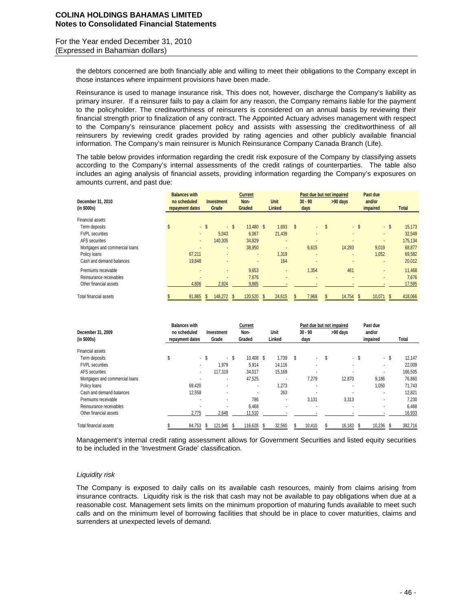> the debtors concerned are both financially able and willing to meet their obligations to the Company except in those instances where impairment provisions have been made.

> Reinsurance is used to manage insurance risk. This does not, however, discharge the Company's liability as primary insurer. If a reinsurer fails to pay a claim for any reason, the Company remains liable for the payment to the policyholder. The creditworthiness of reinsurers is considered on an annual basis by reviewing their financial strength prior to finalization of any contract. The Appointed Actuary advises management with respect to the Company's reinsurance placement policy and assists with assessing the creditworthiness of all reinsurers by reviewing credit grades provided by rating agencies and other publicly available financial information. The Company's main reinsurer is Munich Reinsurance Company Canada Branch (Life).

> The table below provides information regarding the credit risk exposure of the Company by classifying assets according to the Company's internal assessments of the credit ratings of counterparties. The table also includes an aging analysis of financial assets, providing information regarding the Company's exposures on amounts current, and past due:

| December 31, 2010<br>(in \$000s) | <b>Balances with</b><br>no scheduled<br>repayment dates | <b>Investment</b><br>Grade | <b>Current</b><br>Non-<br>Graded | <b>Unit</b><br><b>Linked</b> | $30 - 90$<br>days         | Past due but not impaired<br>$>90$ days | Past due<br>and/or<br>impaired | <b>Total</b>   |
|----------------------------------|---------------------------------------------------------|----------------------------|----------------------------------|------------------------------|---------------------------|-----------------------------------------|--------------------------------|----------------|
| Financial assets                 |                                                         |                            |                                  |                              |                           |                                         |                                |                |
| Term deposits                    | \$                                                      | - \$                       | $-$ \$<br>13.480 \$              | 1.693                        | - \$<br>$\Delta \sim 100$ | <b>S</b>                                | - \$                           | - \$<br>15,173 |
| <b>FVPL</b> securities           |                                                         | 5,043                      | 6,067                            | 21,439                       | $\overline{\phantom{a}}$  |                                         | $\overline{a}$                 | 32,549         |
| AFS securities                   |                                                         | 140,305                    | 34,829                           | $\overline{a}$               | $\overline{\phantom{a}}$  | $\overline{\phantom{a}}$                | $\overline{\phantom{a}}$       | 175,134        |
| Mortgages and commercial loans   |                                                         |                            | 38,950                           | ۰                            | 6,615                     | 14,293                                  | 9,019                          | 68,877         |
| Policy loans                     | 67.211                                                  | ۰                          | $\overline{\phantom{a}}$         | 1,319                        | $\overline{\phantom{a}}$  | $\overline{\phantom{a}}$                | 1,052                          | 69,582         |
| Cash and demand balances         | 19,848                                                  |                            | $\overline{\phantom{a}}$         | 164                          | $\overline{\phantom{a}}$  | $\overline{\phantom{a}}$                | $\overline{\phantom{a}}$       | 20,012         |
| Premiums receivable              |                                                         | $\overline{\phantom{a}}$   | 9,653                            | $\overline{\phantom{a}}$     | 1,354                     | 461                                     | $\overline{a}$                 | 11,468         |
| Reinsurance receivables          |                                                         | ٠                          | 7.676                            |                              | $\overline{\phantom{a}}$  | $\overline{\phantom{a}}$                | ۰                              | 7,676          |
| Other financial assets           | 4,806                                                   | 2,924                      | 9,865                            |                              |                           |                                         |                                | 17,595         |
| Total financial assets           | 91,865                                                  | 148,272<br>S               | 120,520<br><sub>\$</sub>         | 24,615                       | 7,969                     | 14,754                                  | 10,071                         | 418,066        |

| December 31, 2009<br>(in \$000s) | <b>Balances with</b><br>no scheduled<br>repayment dates |      | Investment<br>Grade |      | Current<br>Non-<br>Graded | Unit<br>Linked           |    | Past due but not impaired<br>$30 - 90$<br>days |   | >90 days                 |    | Past due<br>and/or<br>impaired |      | Total   |
|----------------------------------|---------------------------------------------------------|------|---------------------|------|---------------------------|--------------------------|----|------------------------------------------------|---|--------------------------|----|--------------------------------|------|---------|
| Financial assets                 |                                                         |      |                     |      |                           |                          |    |                                                |   |                          |    |                                |      |         |
| Term deposits                    | \$                                                      | - \$ |                     | - \$ | 10.408 \$                 | 1.739                    | -S | $\sim$                                         | S | $\sim$                   | -S |                                | - \$ | 12.147  |
| <b>FVPL</b> securities           |                                                         |      | 1.979               |      | 5.914                     | 14,116                   |    | $\overline{\phantom{a}}$                       |   |                          |    |                                |      | 22,009  |
| AFS securities                   |                                                         |      | 117.319             |      | 34,017                    | 15,169                   |    | $\overline{\phantom{a}}$                       |   | ۰                        |    | $\overline{\phantom{a}}$       |      | 166,505 |
| Mortgages and commercial loans   |                                                         |      |                     |      | 47,525                    | $\overline{\phantom{a}}$ |    | 7,279                                          |   | 12,870                   |    | 9,186                          |      | 76,860  |
| Policy loans                     | 69,420                                                  |      |                     |      | ۰                         | 1,273                    |    |                                                |   |                          |    | 1,050                          |      | 71,743  |
| Cash and demand balances         | 12.558                                                  |      | ۰                   |      | ۰                         | 263                      |    | $\blacksquare$                                 |   | $\overline{\phantom{a}}$ |    | $\overline{\phantom{a}}$       |      | 12.821  |
| Premiums receivable              |                                                         |      | ۰.                  |      | 786                       | $\overline{\phantom{a}}$ |    | 3,131                                          |   | 3.313                    |    | ٠                              |      | 7,230   |
| Reinsurance receivables          |                                                         |      |                     |      | 6.468                     |                          |    | $\overline{\phantom{a}}$                       |   | $\overline{\phantom{a}}$ |    |                                |      | 6,468   |
| Other financial assets           | 2,775                                                   |      | 2,648               |      | 11,510                    |                          |    |                                                |   |                          |    |                                |      | 16,933  |
| Total financial assets           | 84,753                                                  |      | 121.946             |      | 116,628                   | 32,560                   |    | 10,410                                         |   | 16,183 \$                |    | 10,236                         |      | 392,716 |

Management's internal credit rating assessment allows for Government Securities and listed equity securities to be included in the 'Investment Grade' classification.

#### *Liquidity risk*

The Company is exposed to daily calls on its available cash resources, mainly from claims arising from insurance contracts. Liquidity risk is the risk that cash may not be available to pay obligations when due at a reasonable cost. Management sets limits on the minimum proportion of maturing funds available to meet such calls and on the minimum level of borrowing facilities that should be in place to cover maturities, claims and surrenders at unexpected levels of demand.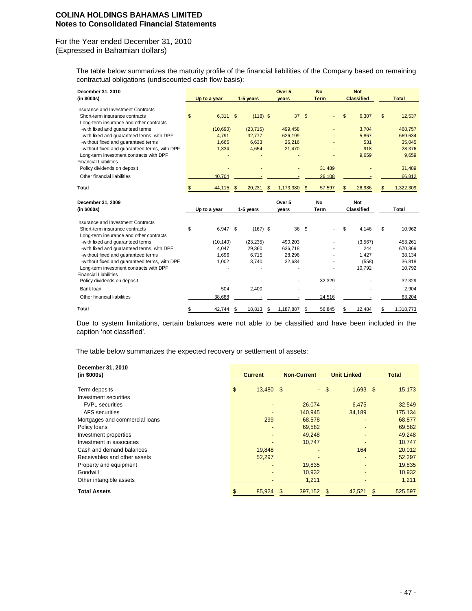# For the Year ended December 31, 2010 (Expressed in Bahamian dollars)

The table below summarizes the maturity profile of the financial liabilities of the Company based on remaining contractual obligations (undiscounted cash flow basis):

| December 31, 2010<br>(in \$000s)                                                                                | Up to a year |              | 1-5 years |            |    | Over <sub>5</sub><br>years |            | <b>No</b><br><b>Term</b> |    | <b>Not</b><br><b>Classified</b> |     | <b>Total</b> |  |
|-----------------------------------------------------------------------------------------------------------------|--------------|--------------|-----------|------------|----|----------------------------|------------|--------------------------|----|---------------------------------|-----|--------------|--|
| Insurance and Investment Contracts<br>Short-term insurance contracts<br>Long-term insurance and other contracts | \$           | $6,311$ \$   |           | $(118)$ \$ |    | 37S                        |            |                          | \$ | 6,307                           | \$  | 12,537       |  |
| -with fixed and guaranteed terms                                                                                |              | (10,690)     |           | (23, 715)  |    | 499,458                    |            |                          |    | 3,704                           |     | 468,757      |  |
| -with fixed and guaranteed terms, with DPF                                                                      |              | 4,791        |           | 32,777     |    | 626,199                    |            |                          |    | 5,867                           |     | 669,634      |  |
| -without fixed and quaranteed terms                                                                             |              | 1,665        |           | 6,633      |    | 26,216                     |            |                          |    | 531                             |     | 35,045       |  |
| -without fixed and quaranteed terms, with DPF                                                                   |              | 1,334        |           | 4,654      |    | 21,470                     |            |                          |    | 918                             |     | 28,376       |  |
| Long-term investment contracts with DPF<br><b>Financial Liabilities</b>                                         |              |              |           |            |    |                            |            |                          |    | 9,659                           |     | 9,659        |  |
| Policy dividends on deposit                                                                                     |              |              |           |            |    |                            |            | 31,489                   |    |                                 |     | 31,489       |  |
| Other financial liabilities                                                                                     |              | 40.704       |           |            |    |                            |            | 26,108                   |    |                                 |     | 66,812       |  |
| <b>Total</b>                                                                                                    |              | 44,115       | \$        | 20,231     | \$ | 1,173,380                  | \$         | 57,597                   | \$ | 26,986                          | \$. | 1,322,309    |  |
|                                                                                                                 |              |              |           |            |    | Over 5                     |            | <b>No</b>                |    | <b>Not</b>                      |     |              |  |
| December 31, 2009                                                                                               |              |              |           |            |    |                            |            |                          |    |                                 |     |              |  |
| (in \$000s)                                                                                                     |              | Up to a year |           | 1-5 years  |    | years                      |            | Term                     |    | <b>Classified</b>               |     | Total        |  |
|                                                                                                                 |              |              |           |            |    |                            |            |                          |    |                                 |     |              |  |
| Insurance and Investment Contracts<br>Short-term insurance contracts                                            | \$           | 6.947 \$     |           | $(167)$ \$ |    | 36                         | $^{\circ}$ |                          | \$ | 4.146                           | \$  | 10,962       |  |
| Long-term insurance and other contracts<br>-with fixed and quaranteed terms                                     |              | (10, 140)    |           | (23, 235)  |    | 490,203                    |            |                          |    | (3, 567)                        |     | 453,261      |  |
| -with fixed and guaranteed terms, with DPF                                                                      |              | 4,047        |           | 29,360     |    | 636,718                    |            |                          |    | 244                             |     | 670,369      |  |
| -without fixed and guaranteed terms                                                                             |              | 1,696        |           | 6,715      |    | 28,296                     |            |                          |    | 1,427                           |     | 38,134       |  |
| -without fixed and guaranteed terms, with DPF                                                                   |              | 1,002        |           | 3,740      |    | 32,634                     |            |                          |    | (558)                           |     | 36,818       |  |
| Long-term investment contracts with DPF                                                                         |              |              |           |            |    |                            |            |                          |    | 10,792                          |     | 10,792       |  |
| <b>Financial Liabilities</b><br>Policy dividends on deposit                                                     |              |              |           |            |    |                            |            | 32,329                   |    |                                 |     | 32,329       |  |
| Bank loan                                                                                                       |              | 504          |           | 2,400      |    |                            |            |                          |    |                                 |     | 2,904        |  |
| Other financial liabilities                                                                                     |              | 38.688       |           |            |    |                            |            | 24,516                   |    |                                 |     | 63,204       |  |

Due to system limitations, certain balances were not able to be classified and have been included in the caption 'not classified'.

The table below summarizes the expected recovery or settlement of assets:

| December 31, 2010<br>(in \$000s) | <b>Current</b>  | <b>Non-Current</b> | <b>Unit Linked</b>   | <b>Total</b> |  |  |
|----------------------------------|-----------------|--------------------|----------------------|--------------|--|--|
|                                  |                 |                    |                      |              |  |  |
| Term deposits                    | \$<br>13,480 \$ |                    | $-$ \$<br>$1,693$ \$ | 15,173       |  |  |
| Investment securities            |                 |                    |                      |              |  |  |
| <b>FVPL</b> securities           |                 | 26,074             | 6,475                | 32,549       |  |  |
| AFS securities                   |                 | 140,945            | 34,189               | 175,134      |  |  |
| Mortgages and commercial loans   | 299             | 68,578             |                      | 68,877       |  |  |
| Policy loans                     |                 | 69,582             |                      | 69,582       |  |  |
| Investment properties            |                 | 49,248             |                      | 49,248       |  |  |
| Investment in associates         |                 | 10,747             |                      | 10,747       |  |  |
| Cash and demand balances         | 19,848          |                    | 164                  | 20,012       |  |  |
| Receivables and other assets     | 52,297          |                    |                      | 52,297       |  |  |
| Property and equipment           |                 | 19,835             |                      | 19,835       |  |  |
| Goodwill                         |                 | 10,932             |                      | 10,932       |  |  |
| Other intangible assets          |                 | 1,211              |                      | 1,211        |  |  |
| <b>Total Assets</b>              | 85,924<br>S     | 397,152<br>S       | 42,521               | 525,597      |  |  |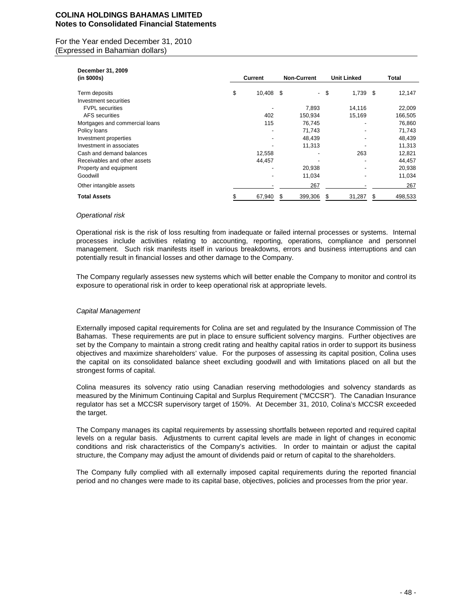# For the Year ended December 31, 2010 (Expressed in Bahamian dollars)

| December 31, 2009              |                 |   | <b>Non-Current</b> |    | <b>Unit Linked</b> | Total         |
|--------------------------------|-----------------|---|--------------------|----|--------------------|---------------|
| (in \$000s)                    | Current         |   |                    |    |                    |               |
| Term deposits                  | \$<br>10,408 \$ |   | $\sim$             | \$ | $1,739$ \$         | 12,147        |
| Investment securities          |                 |   |                    |    |                    |               |
| <b>FVPL</b> securities         |                 |   | 7,893              |    | 14,116             | 22,009        |
| AFS securities                 | 402             |   | 150,934            |    | 15,169             | 166,505       |
| Mortgages and commercial loans | 115             |   | 76,745             |    |                    | 76,860        |
| Policy loans                   | ٠               |   | 71,743             |    | ۰                  | 71,743        |
| Investment properties          |                 |   | 48,439             |    |                    | 48,439        |
| Investment in associates       |                 |   | 11,313             |    |                    | 11,313        |
| Cash and demand balances       | 12,558          |   |                    |    | 263                | 12,821        |
| Receivables and other assets   | 44.457          |   |                    |    |                    | 44,457        |
| Property and equipment         |                 |   | 20,938             |    |                    | 20,938        |
| Goodwill                       |                 |   | 11,034             |    |                    | 11,034        |
| Other intangible assets        |                 |   | 267                |    |                    | 267           |
| <b>Total Assets</b>            | \$<br>67,940    | S | 399,306            | S  | 31,287             | \$<br>498,533 |

#### *Operational risk*

Operational risk is the risk of loss resulting from inadequate or failed internal processes or systems. Internal processes include activities relating to accounting, reporting, operations, compliance and personnel management. Such risk manifests itself in various breakdowns, errors and business interruptions and can potentially result in financial losses and other damage to the Company.

The Company regularly assesses new systems which will better enable the Company to monitor and control its exposure to operational risk in order to keep operational risk at appropriate levels.

# *Capital Management*

Externally imposed capital requirements for Colina are set and regulated by the Insurance Commission of The Bahamas. These requirements are put in place to ensure sufficient solvency margins. Further objectives are set by the Company to maintain a strong credit rating and healthy capital ratios in order to support its business objectives and maximize shareholders' value. For the purposes of assessing its capital position, Colina uses the capital on its consolidated balance sheet excluding goodwill and with limitations placed on all but the strongest forms of capital.

Colina measures its solvency ratio using Canadian reserving methodologies and solvency standards as measured by the Minimum Continuing Capital and Surplus Requirement ("MCCSR"). The Canadian Insurance regulator has set a MCCSR supervisory target of 150%. At December 31, 2010, Colina's MCCSR exceeded the target.

The Company manages its capital requirements by assessing shortfalls between reported and required capital levels on a regular basis. Adjustments to current capital levels are made in light of changes in economic conditions and risk characteristics of the Company's activities. In order to maintain or adjust the capital structure, the Company may adjust the amount of dividends paid or return of capital to the shareholders.

The Company fully complied with all externally imposed capital requirements during the reported financial period and no changes were made to its capital base, objectives, policies and processes from the prior year.